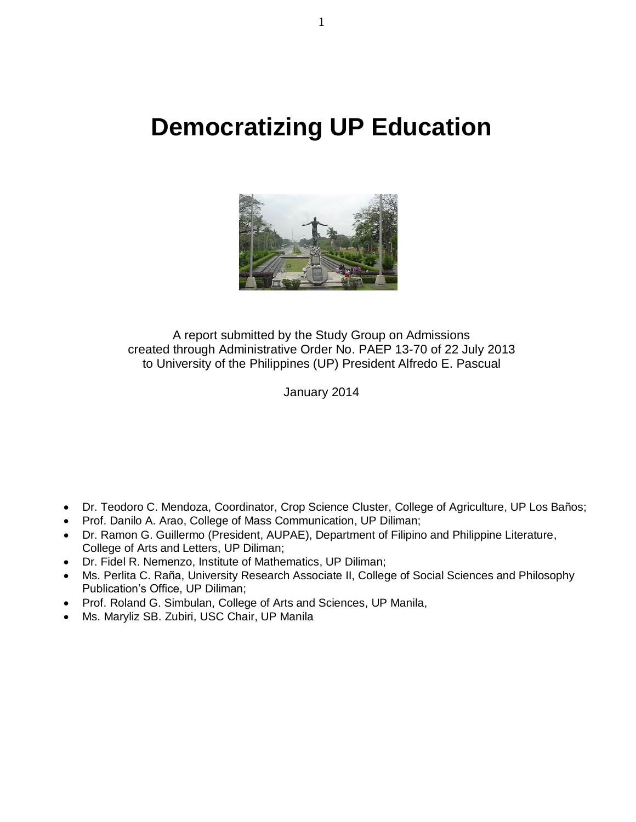# **Democratizing UP Education**



A report submitted by the Study Group on Admissions created through Administrative Order No. PAEP 13-70 of 22 July 2013 to University of the Philippines (UP) President Alfredo E. Pascual

January 2014

- Dr. Teodoro C. Mendoza, Coordinator, Crop Science Cluster, College of Agriculture, UP Los Baños;
- Prof. Danilo A. Arao, College of Mass Communication, UP Diliman;
- Dr. Ramon G. Guillermo (President, AUPAE), Department of Filipino and Philippine Literature, College of Arts and Letters, UP Diliman;
- Dr. Fidel R. Nemenzo, Institute of Mathematics, UP Diliman;
- Ms. Perlita C. Raña, University Research Associate II, College of Social Sciences and Philosophy Publication's Office, UP Diliman;
- Prof. Roland G. Simbulan, College of Arts and Sciences, UP Manila,
- Ms. Maryliz SB. Zubiri, USC Chair, UP Manila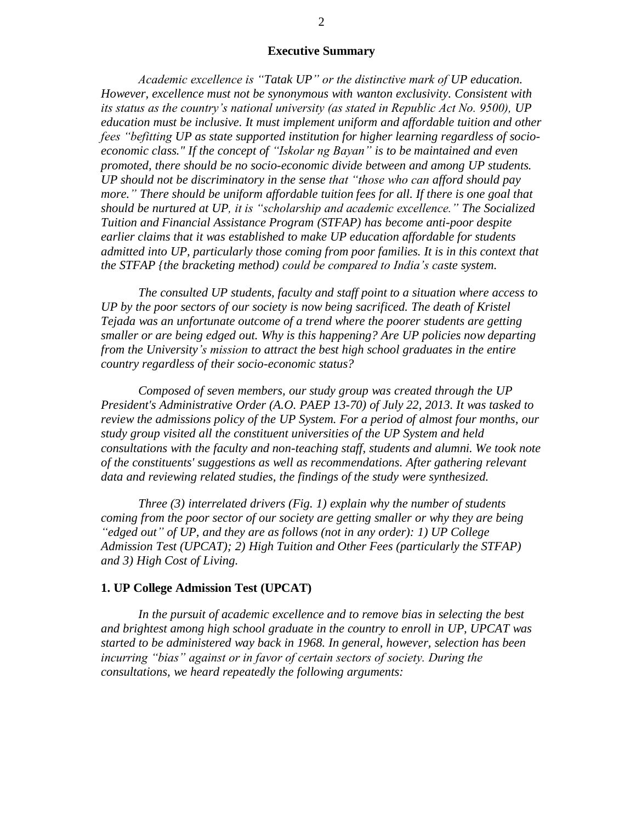### **Executive Summary**

*Academic excellence is "Tatak UP" or the distinctive mark of UP education. However, excellence must not be synonymous with wanton exclusivity. Consistent with its status as the country's national university (as stated in Republic Act No. 9500), UP education must be inclusive. It must implement uniform and affordable tuition and other fees "befitting UP as state supported institution for higher learning regardless of socioeconomic class." If the concept of "Iskolar ng Bayan" is to be maintained and even promoted, there should be no socio-economic divide between and among UP students. UP should not be discriminatory in the sense that "those who can afford should pay more." There should be uniform affordable tuition fees for all. If there is one goal that should be nurtured at UP, it is "scholarship and academic excellence." The Socialized Tuition and Financial Assistance Program (STFAP) has become anti-poor despite earlier claims that it was established to make UP education affordable for students admitted into UP, particularly those coming from poor families. It is in this context that the STFAP {the bracketing method) could be compared to India's caste system.*

*The consulted UP students, faculty and staff point to a situation where access to UP by the poor sectors of our society is now being sacrificed. The death of Kristel Tejada was an unfortunate outcome of a trend where the poorer students are getting smaller or are being edged out. Why is this happening? Are UP policies now departing from the University's mission to attract the best high school graduates in the entire country regardless of their socio-economic status?* 

*Composed of seven members, our study group was created through the UP President's Administrative Order (A.O. PAEP 13-70) of July 22, 2013. It was tasked to review the admissions policy of the UP System. For a period of almost four months, our study group visited all the constituent universities of the UP System and held consultations with the faculty and non-teaching staff, students and alumni. We took note of the constituents' suggestions as well as recommendations. After gathering relevant data and reviewing related studies, the findings of the study were synthesized.* 

*Three (3) interrelated drivers (Fig. 1) explain why the number of students coming from the poor sector of our society are getting smaller or why they are being "edged out" of UP, and they are as follows (not in any order): 1) UP College Admission Test (UPCAT); 2) High Tuition and Other Fees (particularly the STFAP) and 3) High Cost of Living.*

#### **1. UP College Admission Test (UPCAT)**

*In the pursuit of academic excellence and to remove bias in selecting the best and brightest among high school graduate in the country to enroll in UP, UPCAT was started to be administered way back in 1968. In general, however, selection has been incurring "bias" against or in favor of certain sectors of society. During the consultations, we heard repeatedly the following arguments:*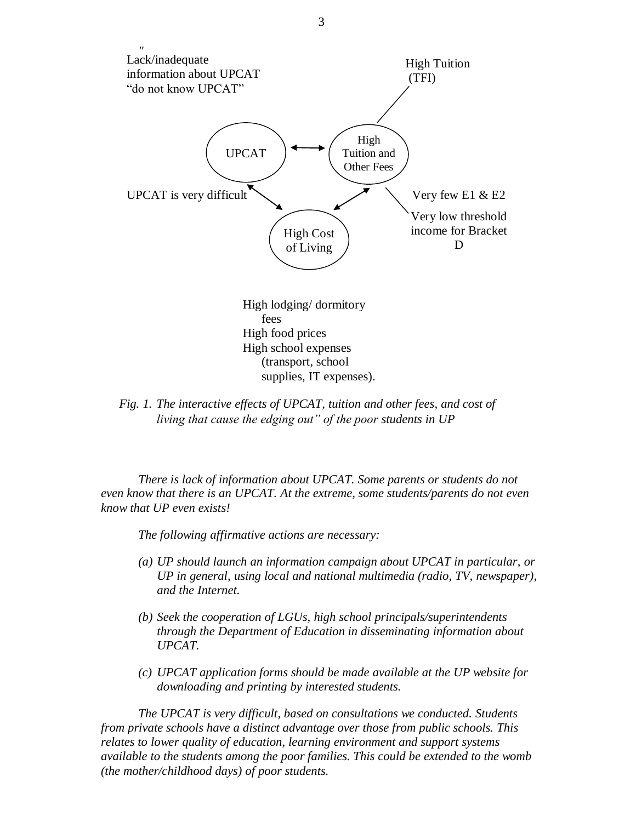

*Fig. 1. The interactive effects of UPCAT, tuition and other fees, and cost of living that cause the edging out" of the poor students in UP*

*There is lack of information about UPCAT. Some parents or students do not even know that there is an UPCAT. At the extreme, some students/parents do not even know that UP even exists!*

*The following affirmative actions are necessary:*

- *(a) UP should launch an information campaign about UPCAT in particular, or UP in general, using local and national multimedia (radio, TV, newspaper), and the Internet.*
- *(b) Seek the cooperation of LGUs, high school principals/superintendents through the Department of Education in disseminating information about UPCAT.*
- *(c) UPCAT application forms should be made available at the UP website for downloading and printing by interested students.*

*The UPCAT is very difficult, based on consultations we conducted. Students from private schools have a distinct advantage over those from public schools. This relates to lower quality of education, learning environment and support systems available to the students among the poor families. This could be extended to the womb (the mother/childhood days) of poor students.*

3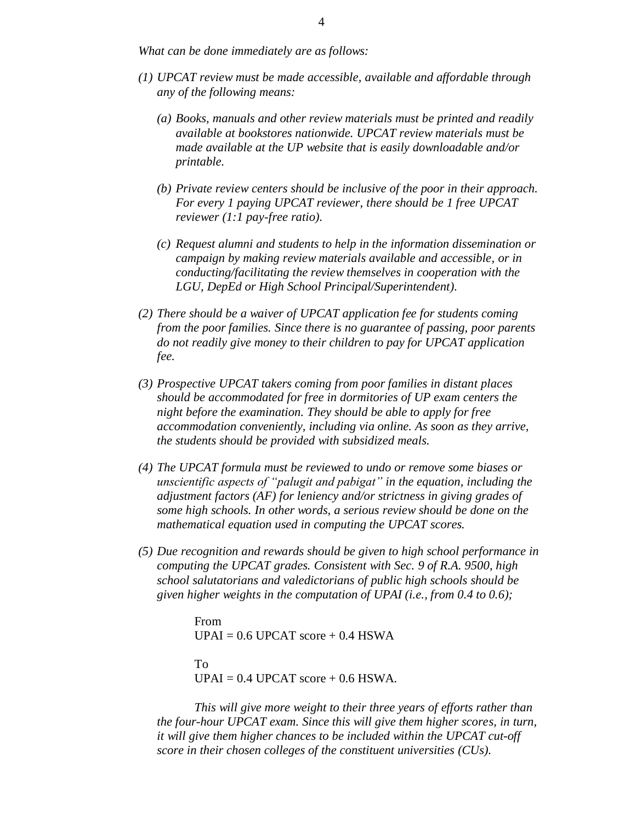*What can be done immediately are as follows:*

- *(1) UPCAT review must be made accessible, available and affordable through any of the following means:*
	- *(a) Books, manuals and other review materials must be printed and readily available at bookstores nationwide. UPCAT review materials must be made available at the UP website that is easily downloadable and/or printable.*
	- *(b) Private review centers should be inclusive of the poor in their approach. For every 1 paying UPCAT reviewer, there should be 1 free UPCAT reviewer (1:1 pay-free ratio).*
	- *(c) Request alumni and students to help in the information dissemination or campaign by making review materials available and accessible, or in conducting/facilitating the review themselves in cooperation with the LGU, DepEd or High School Principal/Superintendent).*
- *(2) There should be a waiver of UPCAT application fee for students coming from the poor families. Since there is no guarantee of passing, poor parents do not readily give money to their children to pay for UPCAT application fee.*
- *(3) Prospective UPCAT takers coming from poor families in distant places should be accommodated for free in dormitories of UP exam centers the night before the examination. They should be able to apply for free accommodation conveniently, including via online. As soon as they arrive, the students should be provided with subsidized meals.*
- *(4) The UPCAT formula must be reviewed to undo or remove some biases or unscientific aspects of "palugit and pabigat" in the equation, including the adjustment factors (AF) for leniency and/or strictness in giving grades of some high schools. In other words, a serious review should be done on the mathematical equation used in computing the UPCAT scores.*
- *(5) Due recognition and rewards should be given to high school performance in computing the UPCAT grades. Consistent with Sec. 9 of R.A. 9500, high school salutatorians and valedictorians of public high schools should be given higher weights in the computation of UPAI (i.e., from 0.4 to 0.6);*

From  $UPAI = 0.6 UPCAT score + 0.4 HSWA$ To  $UPAI = 0.4 UPCAT score + 0.6 HSWA.$ 

*This will give more weight to their three years of efforts rather than the four-hour UPCAT exam. Since this will give them higher scores, in turn, it will give them higher chances to be included within the UPCAT cut-off score in their chosen colleges of the constituent universities (CUs).*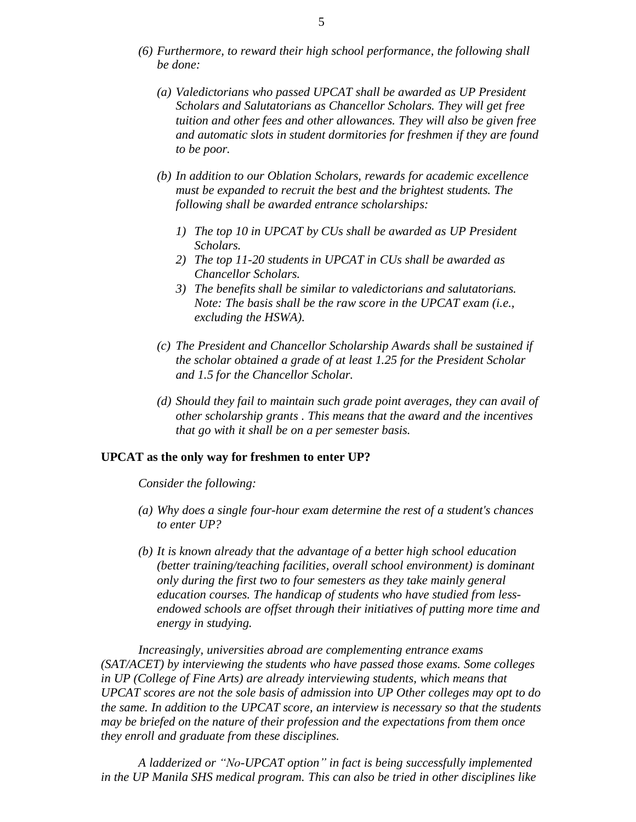- *(6) Furthermore, to reward their high school performance, the following shall be done:*
	- *(a) Valedictorians who passed UPCAT shall be awarded as UP President Scholars and Salutatorians as Chancellor Scholars. They will get free tuition and other fees and other allowances. They will also be given free and automatic slots in student dormitories for freshmen if they are found to be poor.*
	- *(b) In addition to our Oblation Scholars, rewards for academic excellence must be expanded to recruit the best and the brightest students. The following shall be awarded entrance scholarships:*
		- *1) The top 10 in UPCAT by CUs shall be awarded as UP President Scholars.*
		- *2) The top 11-20 students in UPCAT in CUs shall be awarded as Chancellor Scholars.*
		- *3) The benefits shall be similar to valedictorians and salutatorians. Note: The basis shall be the raw score in the UPCAT exam (i.e., excluding the HSWA).*
	- *(c) The President and Chancellor Scholarship Awards shall be sustained if the scholar obtained a grade of at least 1.25 for the President Scholar and 1.5 for the Chancellor Scholar.*
	- *(d) Should they fail to maintain such grade point averages, they can avail of other scholarship grants . This means that the award and the incentives that go with it shall be on a per semester basis.*

## **UPCAT as the only way for freshmen to enter UP?**

*Consider the following:*

- *(a) Why does a single four-hour exam determine the rest of a student's chances to enter UP?*
- *(b) It is known already that the advantage of a better high school education (better training/teaching facilities, overall school environment) is dominant only during the first two to four semesters as they take mainly general education courses. The handicap of students who have studied from lessendowed schools are offset through their initiatives of putting more time and energy in studying.*

*Increasingly, universities abroad are complementing entrance exams (SAT/ACET) by interviewing the students who have passed those exams. Some colleges in UP (College of Fine Arts) are already interviewing students, which means that UPCAT scores are not the sole basis of admission into UP Other colleges may opt to do the same. In addition to the UPCAT score, an interview is necessary so that the students may be briefed on the nature of their profession and the expectations from them once they enroll and graduate from these disciplines.*

*A ladderized or "No-UPCAT option" in fact is being successfully implemented in the UP Manila SHS medical program. This can also be tried in other disciplines like*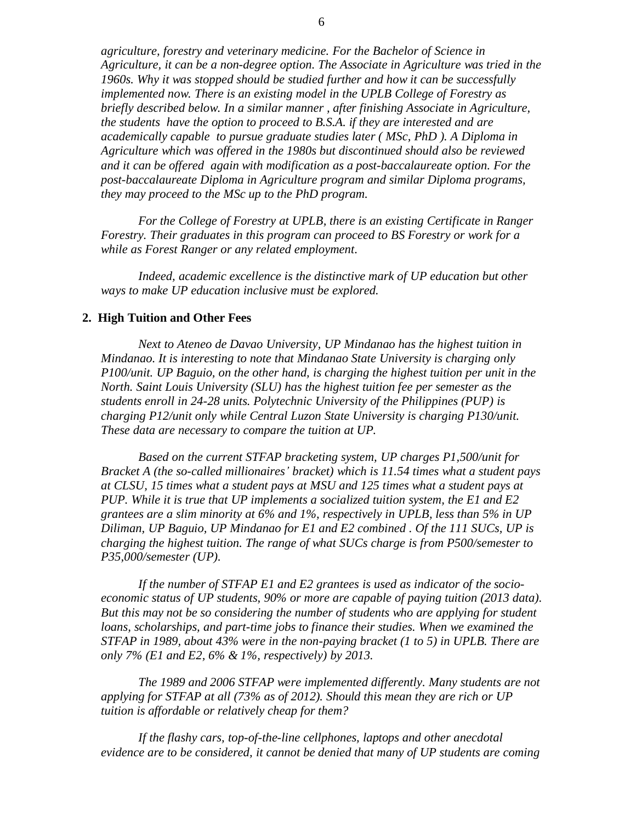*agriculture, forestry and veterinary medicine. For the Bachelor of Science in Agriculture, it can be a non-degree option. The Associate in Agriculture was tried in the 1960s. Why it was stopped should be studied further and how it can be successfully implemented now. There is an existing model in the UPLB College of Forestry as briefly described below. In a similar manner , after finishing Associate in Agriculture, the students have the option to proceed to B.S.A. if they are interested and are academically capable to pursue graduate studies later ( MSc, PhD ). A Diploma in Agriculture which was offered in the 1980s but discontinued should also be reviewed and it can be offered again with modification as a post-baccalaureate option. For the post-baccalaureate Diploma in Agriculture program and similar Diploma programs, they may proceed to the MSc up to the PhD program.*

*For the College of Forestry at UPLB, there is an existing Certificate in Ranger Forestry. Their graduates in this program can proceed to BS Forestry or work for a while as Forest Ranger or any related employment.*

*Indeed, academic excellence is the distinctive mark of UP education but other ways to make UP education inclusive must be explored.*

#### **2. High Tuition and Other Fees**

*Next to Ateneo de Davao University, UP Mindanao has the highest tuition in Mindanao. It is interesting to note that Mindanao State University is charging only P100/unit. UP Baguio, on the other hand, is charging the highest tuition per unit in the North. Saint Louis University (SLU) has the highest tuition fee per semester as the students enroll in 24-28 units. Polytechnic University of the Philippines (PUP) is charging P12/unit only while Central Luzon State University is charging P130/unit. These data are necessary to compare the tuition at UP.*

*Based on the current STFAP bracketing system, UP charges P1,500/unit for Bracket A (the so-called millionaires' bracket) which is 11.54 times what a student pays at CLSU, 15 times what a student pays at MSU and 125 times what a student pays at PUP. While it is true that UP implements a socialized tuition system, the E1 and E2 grantees are a slim minority at 6% and 1%, respectively in UPLB, less than 5% in UP Diliman, UP Baguio, UP Mindanao for E1 and E2 combined . Of the 111 SUCs, UP is charging the highest tuition. The range of what SUCs charge is from P500/semester to P35,000/semester (UP).*

*If the number of STFAP E1 and E2 grantees is used as indicator of the socioeconomic status of UP students, 90% or more are capable of paying tuition (2013 data). But this may not be so considering the number of students who are applying for student loans, scholarships, and part-time jobs to finance their studies. When we examined the STFAP in 1989, about 43% were in the non-paying bracket (1 to 5) in UPLB. There are only 7% (E1 and E2, 6% & 1%, respectively) by 2013.*

*The 1989 and 2006 STFAP were implemented differently. Many students are not applying for STFAP at all (73% as of 2012). Should this mean they are rich or UP tuition is affordable or relatively cheap for them?*

*If the flashy cars, top-of-the-line cellphones, laptops and other anecdotal evidence are to be considered, it cannot be denied that many of UP students are coming*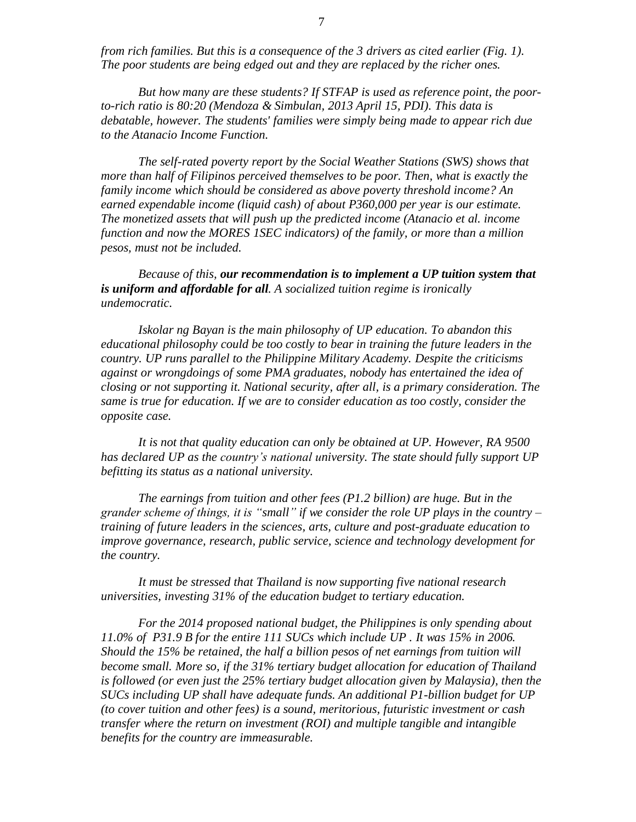*from rich families. But this is a consequence of the 3 drivers as cited earlier (Fig. 1). The poor students are being edged out and they are replaced by the richer ones.* 

*But how many are these students? If STFAP is used as reference point, the poorto-rich ratio is 80:20 (Mendoza & Simbulan, 2013 April 15, PDI). This data is debatable, however. The students' families were simply being made to appear rich due to the Atanacio Income Function.*

*The self-rated poverty report by the Social Weather Stations (SWS) shows that more than half of Filipinos perceived themselves to be poor. Then, what is exactly the family income which should be considered as above poverty threshold income? An earned expendable income (liquid cash) of about P360,000 per year is our estimate. The monetized assets that will push up the predicted income (Atanacio et al. income function and now the MORES 1SEC indicators) of the family, or more than a million pesos, must not be included.*

*Because of this, our recommendation is to implement a UP tuition system that is uniform and affordable for all. A socialized tuition regime is ironically undemocratic.* 

*Iskolar ng Bayan is the main philosophy of UP education. To abandon this educational philosophy could be too costly to bear in training the future leaders in the country. UP runs parallel to the Philippine Military Academy. Despite the criticisms against or wrongdoings of some PMA graduates, nobody has entertained the idea of closing or not supporting it. National security, after all, is a primary consideration. The same is true for education. If we are to consider education as too costly, consider the opposite case.*

*It is not that quality education can only be obtained at UP. However, RA 9500 has declared UP as the country's national university. The state should fully support UP befitting its status as a national university.*

*The earnings from tuition and other fees (P1.2 billion) are huge. But in the grander scheme of things, it is "small" if we consider the role UP plays in the country – training of future leaders in the sciences, arts, culture and post-graduate education to improve governance, research, public service, science and technology development for the country.*

*It must be stressed that Thailand is now supporting five national research universities, investing 31% of the education budget to tertiary education.*

*For the 2014 proposed national budget, the Philippines is only spending about 11.0% of P31.9 B for the entire 111 SUCs which include UP . It was 15% in 2006. Should the 15% be retained, the half a billion pesos of net earnings from tuition will become small. More so, if the 31% tertiary budget allocation for education of Thailand is followed (or even just the 25% tertiary budget allocation given by Malaysia), then the SUCs including UP shall have adequate funds. An additional P1-billion budget for UP (to cover tuition and other fees) is a sound, meritorious, futuristic investment or cash transfer where the return on investment (ROI) and multiple tangible and intangible benefits for the country are immeasurable.*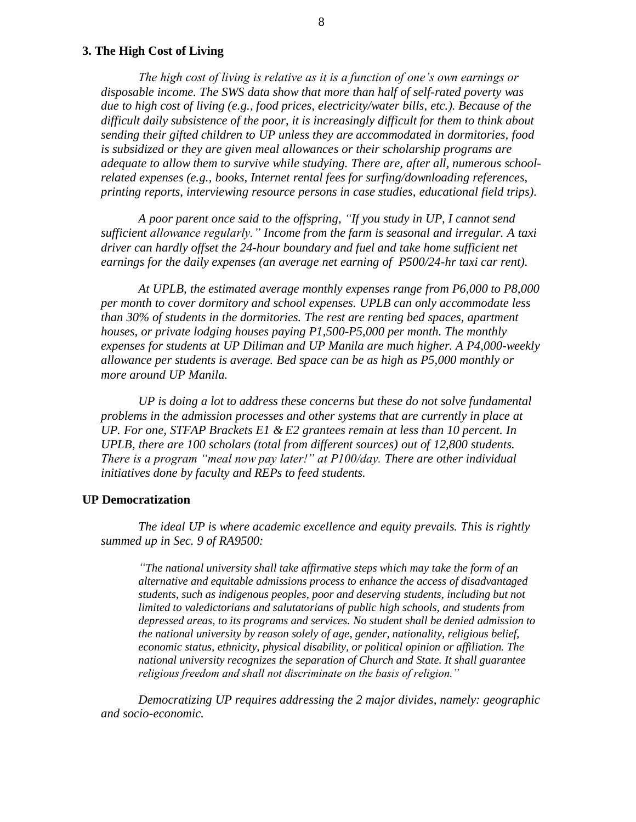## **3. The High Cost of Living**

*The high cost of living is relative as it is a function of one's own earnings or disposable income. The SWS data show that more than half of self-rated poverty was due to high cost of living (e.g., food prices, electricity/water bills, etc.). Because of the difficult daily subsistence of the poor, it is increasingly difficult for them to think about sending their gifted children to UP unless they are accommodated in dormitories, food is subsidized or they are given meal allowances or their scholarship programs are adequate to allow them to survive while studying. There are, after all, numerous schoolrelated expenses (e.g., books, Internet rental fees for surfing/downloading references, printing reports, interviewing resource persons in case studies, educational field trips).*

*A poor parent once said to the offspring, "If you study in UP, I cannot send sufficient allowance regularly." Income from the farm is seasonal and irregular. A taxi driver can hardly offset the 24-hour boundary and fuel and take home sufficient net earnings for the daily expenses (an average net earning of P500/24-hr taxi car rent).*

*At UPLB, the estimated average monthly expenses range from P6,000 to P8,000 per month to cover dormitory and school expenses. UPLB can only accommodate less than 30% of students in the dormitories. The rest are renting bed spaces, apartment houses, or private lodging houses paying P1,500-P5,000 per month. The monthly expenses for students at UP Diliman and UP Manila are much higher. A P4,000-weekly allowance per students is average. Bed space can be as high as P5,000 monthly or more around UP Manila.*

*UP is doing a lot to address these concerns but these do not solve fundamental problems in the admission processes and other systems that are currently in place at UP. For one, STFAP Brackets E1 & E2 grantees remain at less than 10 percent. In UPLB, there are 100 scholars (total from different sources) out of 12,800 students. There is a program "meal now pay later!" at P100/day. There are other individual initiatives done by faculty and REPs to feed students.*

#### **UP Democratization**

*The ideal UP is where academic excellence and equity prevails. This is rightly summed up in Sec. 9 of RA9500:*

*"The national university shall take affirmative steps which may take the form of an alternative and equitable admissions process to enhance the access of disadvantaged students, such as indigenous peoples, poor and deserving students, including but not limited to valedictorians and salutatorians of public high schools, and students from depressed areas, to its programs and services. No student shall be denied admission to the national university by reason solely of age, gender, nationality, religious belief, economic status, ethnicity, physical disability, or political opinion or affiliation. The national university recognizes the separation of Church and State. It shall guarantee religious freedom and shall not discriminate on the basis of religion."*

*Democratizing UP requires addressing the 2 major divides, namely: geographic and socio-economic.*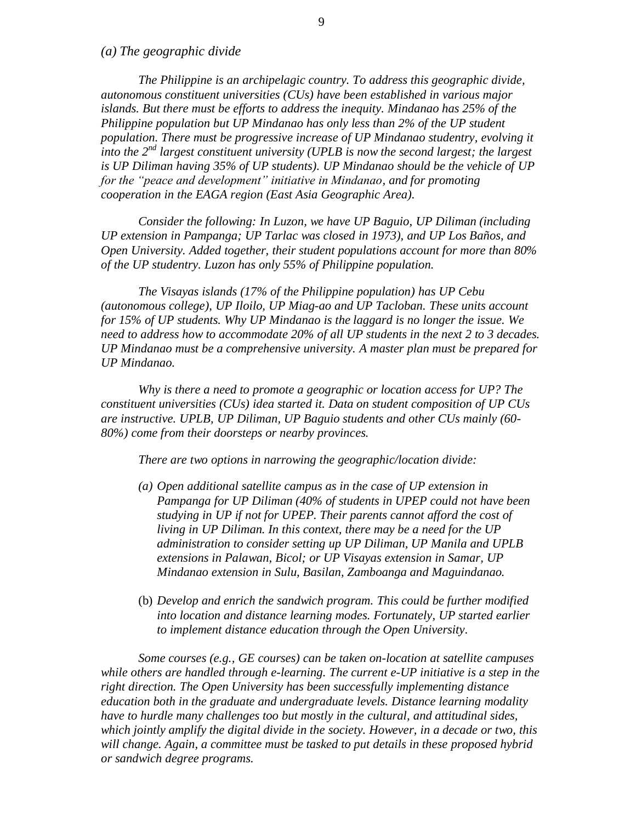*(a) The geographic divide*

*The Philippine is an archipelagic country. To address this geographic divide, autonomous constituent universities (CUs) have been established in various major islands. But there must be efforts to address the inequity. Mindanao has 25% of the Philippine population but UP Mindanao has only less than 2% of the UP student population. There must be progressive increase of UP Mindanao studentry, evolving it into the 2nd largest constituent university (UPLB is now the second largest; the largest is UP Diliman having 35% of UP students). UP Mindanao should be the vehicle of UP for the "peace and development" initiative in Mindanao, and for promoting cooperation in the EAGA region (East Asia Geographic Area).*

*Consider the following: In Luzon, we have UP Baguio, UP Diliman (including UP extension in Pampanga; UP Tarlac was closed in 1973), and UP Los Baños, and Open University. Added together, their student populations account for more than 80% of the UP studentry. Luzon has only 55% of Philippine population.*

*The Visayas islands (17% of the Philippine population) has UP Cebu (autonomous college), UP Iloilo, UP Miag-ao and UP Tacloban. These units account for 15% of UP students. Why UP Mindanao is the laggard is no longer the issue. We need to address how to accommodate 20% of all UP students in the next 2 to 3 decades. UP Mindanao must be a comprehensive university. A master plan must be prepared for UP Mindanao.*

*Why is there a need to promote a geographic or location access for UP? The constituent universities (CUs) idea started it. Data on student composition of UP CUs are instructive. UPLB, UP Diliman, UP Baguio students and other CUs mainly (60- 80%) come from their doorsteps or nearby provinces.*

*There are two options in narrowing the geographic/location divide:*

- *(a) Open additional satellite campus as in the case of UP extension in Pampanga for UP Diliman (40% of students in UPEP could not have been studying in UP if not for UPEP. Their parents cannot afford the cost of living in UP Diliman. In this context, there may be a need for the UP administration to consider setting up UP Diliman, UP Manila and UPLB extensions in Palawan, Bicol; or UP Visayas extension in Samar, UP Mindanao extension in Sulu, Basilan, Zamboanga and Maguindanao.*
- (b) *Develop and enrich the sandwich program. This could be further modified into location and distance learning modes. Fortunately, UP started earlier to implement distance education through the Open University*.

*Some courses (e.g., GE courses) can be taken on-location at satellite campuses while others are handled through e-learning. The current e-UP initiative is a step in the right direction. The Open University has been successfully implementing distance education both in the graduate and undergraduate levels. Distance learning modality have to hurdle many challenges too but mostly in the cultural, and attitudinal sides, which jointly amplify the digital divide in the society. However, in a decade or two, this will change. Again, a committee must be tasked to put details in these proposed hybrid or sandwich degree programs.*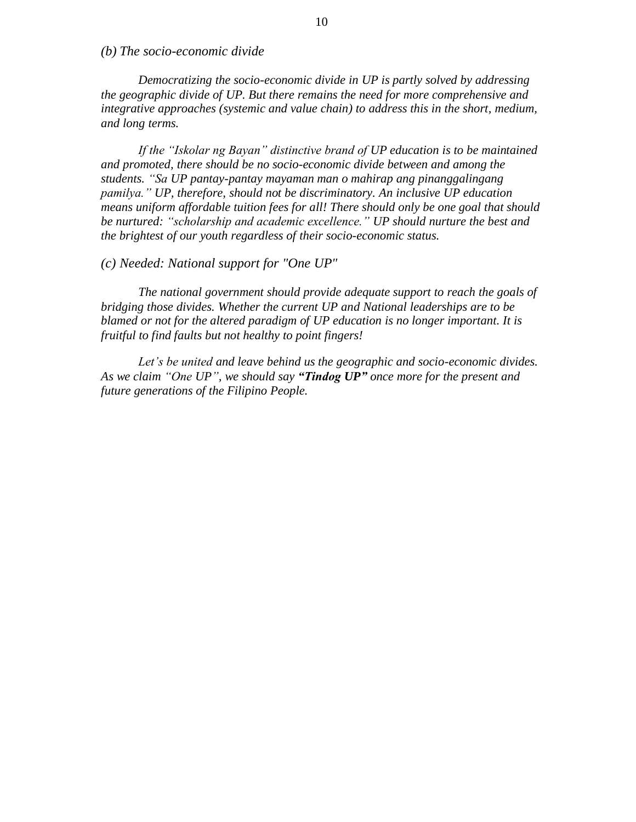*(b) The socio-economic divide*

*Democratizing the socio-economic divide in UP is partly solved by addressing the geographic divide of UP. But there remains the need for more comprehensive and integrative approaches (systemic and value chain) to address this in the short, medium, and long terms.*

*If the "Iskolar ng Bayan" distinctive brand of UP education is to be maintained and promoted, there should be no socio-economic divide between and among the students. "Sa UP pantay-pantay mayaman man o mahirap ang pinanggalingang pamilya." UP, therefore, should not be discriminatory. An inclusive UP education means uniform affordable tuition fees for all! There should only be one goal that should be nurtured: "scholarship and academic excellence." UP should nurture the best and the brightest of our youth regardless of their socio-economic status.*

*(c) Needed: National support for "One UP"*

*The national government should provide adequate support to reach the goals of bridging those divides. Whether the current UP and National leaderships are to be blamed or not for the altered paradigm of UP education is no longer important. It is fruitful to find faults but not healthy to point fingers!*

*Let's be united and leave behind us the geographic and socio-economic divides. As we claim "One UP", we should say "Tindog UP" once more for the present and future generations of the Filipino People.*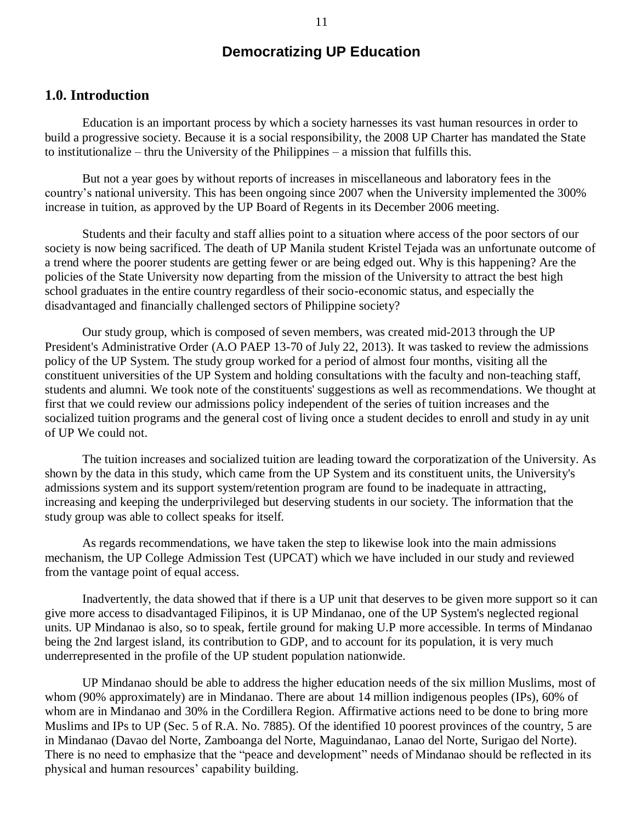## **Democratizing UP Education**

## **1.0. Introduction**

Education is an important process by which a society harnesses its vast human resources in order to build a progressive society. Because it is a social responsibility, the 2008 UP Charter has mandated the State to institutionalize – thru the University of the Philippines – a mission that fulfills this.

But not a year goes by without reports of increases in miscellaneous and laboratory fees in the country"s national university. This has been ongoing since 2007 when the University implemented the 300% increase in tuition, as approved by the UP Board of Regents in its December 2006 meeting.

Students and their faculty and staff allies point to a situation where access of the poor sectors of our society is now being sacrificed. The death of UP Manila student Kristel Tejada was an unfortunate outcome of a trend where the poorer students are getting fewer or are being edged out. Why is this happening? Are the policies of the State University now departing from the mission of the University to attract the best high school graduates in the entire country regardless of their socio-economic status, and especially the disadvantaged and financially challenged sectors of Philippine society?

Our study group, which is composed of seven members, was created mid-2013 through the UP President's Administrative Order (A.O PAEP 13-70 of July 22, 2013). It was tasked to review the admissions policy of the UP System. The study group worked for a period of almost four months, visiting all the constituent universities of the UP System and holding consultations with the faculty and non-teaching staff, students and alumni. We took note of the constituents' suggestions as well as recommendations. We thought at first that we could review our admissions policy independent of the series of tuition increases and the socialized tuition programs and the general cost of living once a student decides to enroll and study in ay unit of UP We could not.

The tuition increases and socialized tuition are leading toward the corporatization of the University. As shown by the data in this study, which came from the UP System and its constituent units, the University's admissions system and its support system/retention program are found to be inadequate in attracting, increasing and keeping the underprivileged but deserving students in our society. The information that the study group was able to collect speaks for itself.

As regards recommendations, we have taken the step to likewise look into the main admissions mechanism, the UP College Admission Test (UPCAT) which we have included in our study and reviewed from the vantage point of equal access.

Inadvertently, the data showed that if there is a UP unit that deserves to be given more support so it can give more access to disadvantaged Filipinos, it is UP Mindanao, one of the UP System's neglected regional units. UP Mindanao is also, so to speak, fertile ground for making U.P more accessible. In terms of Mindanao being the 2nd largest island, its contribution to GDP, and to account for its population, it is very much underrepresented in the profile of the UP student population nationwide.

UP Mindanao should be able to address the higher education needs of the six million Muslims, most of whom (90% approximately) are in Mindanao. There are about 14 million indigenous peoples (IPs), 60% of whom are in Mindanao and 30% in the Cordillera Region. Affirmative actions need to be done to bring more Muslims and IPs to UP (Sec. 5 of R.A. No. 7885). Of the identified 10 poorest provinces of the country, 5 are in Mindanao (Davao del Norte, Zamboanga del Norte, Maguindanao, Lanao del Norte, Surigao del Norte). There is no need to emphasize that the "peace and development" needs of Mindanao should be reflected in its physical and human resources" capability building.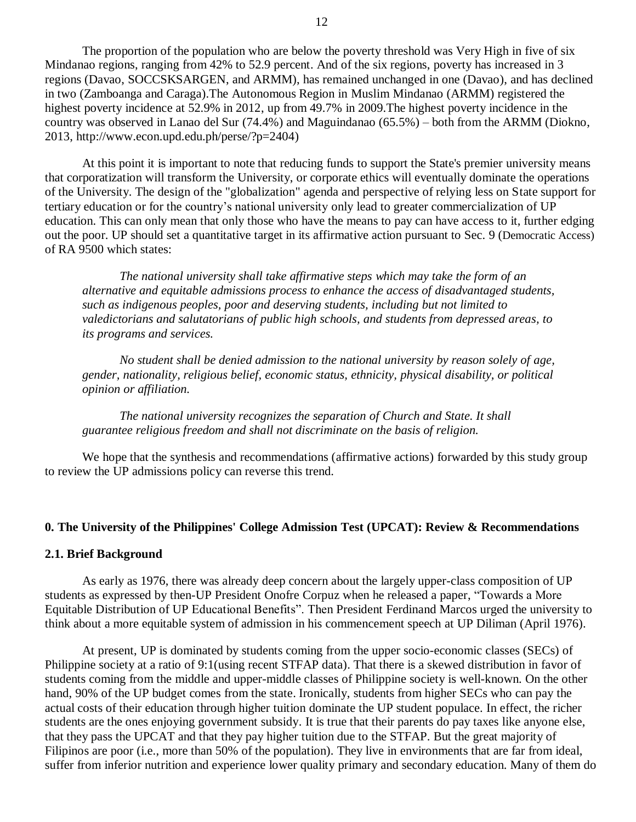The proportion of the population who are below the poverty threshold was Very High in five of six Mindanao regions, ranging from 42% to 52.9 percent. And of the six regions, poverty has increased in 3 regions (Davao, SOCCSKSARGEN, and ARMM), has remained unchanged in one (Davao), and has declined in two (Zamboanga and Caraga).The Autonomous Region in Muslim Mindanao (ARMM) registered the highest poverty incidence at 52.9% in 2012, up from 49.7% in 2009.The highest poverty incidence in the country was observed in Lanao del Sur (74.4%) and Maguindanao (65.5%) – both from the ARMM (Diokno, 2013, [http://www.econ.upd.edu.ph/perse/?p=2404\)](http://www.econ.upd.edu.ph/perse/?p=2404)

At this point it is important to note that reducing funds to support the State's premier university means that corporatization will transform the University, or corporate ethics will eventually dominate the operations of the University. The design of the "globalization" agenda and perspective of relying less on State support for tertiary education or for the country's national university only lead to greater commercialization of UP education. This can only mean that only those who have the means to pay can have access to it, further edging out the poor. UP should set a quantitative target in its affirmative action pursuant to Sec. 9 (Democratic Access) of RA 9500 which states:

*The national university shall take affirmative steps which may take the form of an alternative and equitable admissions process to enhance the access of disadvantaged students, such as indigenous peoples, poor and deserving students, including but not limited to valedictorians and salutatorians of public high schools, and students from depressed areas, to its programs and services.*

*No student shall be denied admission to the national university by reason solely of age, gender, nationality, religious belief, economic status, ethnicity, physical disability, or political opinion or affiliation.*

*The national university recognizes the separation of Church and State. It shall guarantee religious freedom and shall not discriminate on the basis of religion.*

We hope that the synthesis and recommendations (affirmative actions) forwarded by this study group to review the UP admissions policy can reverse this trend.

#### **0. The University of the Philippines' College Admission Test (UPCAT): Review & Recommendations**

#### **2.1. Brief Background**

As early as 1976, there was already deep concern about the largely upper-class composition of UP students as expressed by then-UP President Onofre Corpuz when he released a paper, "Towards a More Equitable Distribution of UP Educational Benefits". Then President Ferdinand Marcos urged the university to think about a more equitable system of admission in his commencement speech at UP Diliman (April 1976).

At present, UP is dominated by students coming from the upper socio-economic classes (SECs) of Philippine society at a ratio of 9:1(using recent STFAP data). That there is a skewed distribution in favor of students coming from the middle and upper-middle classes of Philippine society is well-known. On the other hand, 90% of the UP budget comes from the state. Ironically, students from higher SECs who can pay the actual costs of their education through higher tuition dominate the UP student populace. In effect, the richer students are the ones enjoying government subsidy. It is true that their parents do pay taxes like anyone else, that they pass the UPCAT and that they pay higher tuition due to the STFAP. But the great majority of Filipinos are poor (i.e., more than 50% of the population). They live in environments that are far from ideal, suffer from inferior nutrition and experience lower quality primary and secondary education. Many of them do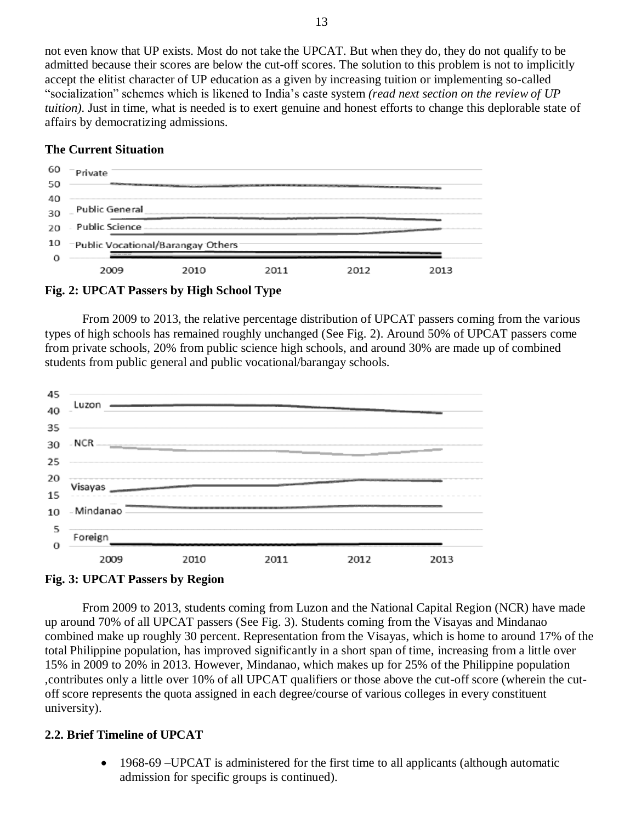not even know that UP exists. Most do not take the UPCAT. But when they do, they do not qualify to be admitted because their scores are below the cut-off scores. The solution to this problem is not to implicitly accept the elitist character of UP education as a given by increasing tuition or implementing so-called "socialization" schemes which is likened to India"s caste system *(read next section on the review of UP tuition).* Just in time, what is needed is to exert genuine and honest efforts to change this deplorable state of affairs by democratizing admissions.

## **The Current Situation**



**Fig. 2: UPCAT Passers by High School Type**

From 2009 to 2013, the relative percentage distribution of UPCAT passers coming from the various types of high schools has remained roughly unchanged (See Fig. 2). Around 50% of UPCAT passers come from private schools, 20% from public science high schools, and around 30% are made up of combined students from public general and public vocational/barangay schools.





From 2009 to 2013, students coming from Luzon and the National Capital Region (NCR) have made up around 70% of all UPCAT passers (See Fig. 3). Students coming from the Visayas and Mindanao combined make up roughly 30 percent. Representation from the Visayas, which is home to around 17% of the total Philippine population, has improved significantly in a short span of time, increasing from a little over 15% in 2009 to 20% in 2013. However, Mindanao, which makes up for 25% of the Philippine population ,contributes only a little over 10% of all UPCAT qualifiers or those above the cut-off score (wherein the cutoff score represents the quota assigned in each degree/course of various colleges in every constituent university).

## **2.2. Brief Timeline of UPCAT**

• 1968-69 – UPCAT is administered for the first time to all applicants (although automatic admission for specific groups is continued).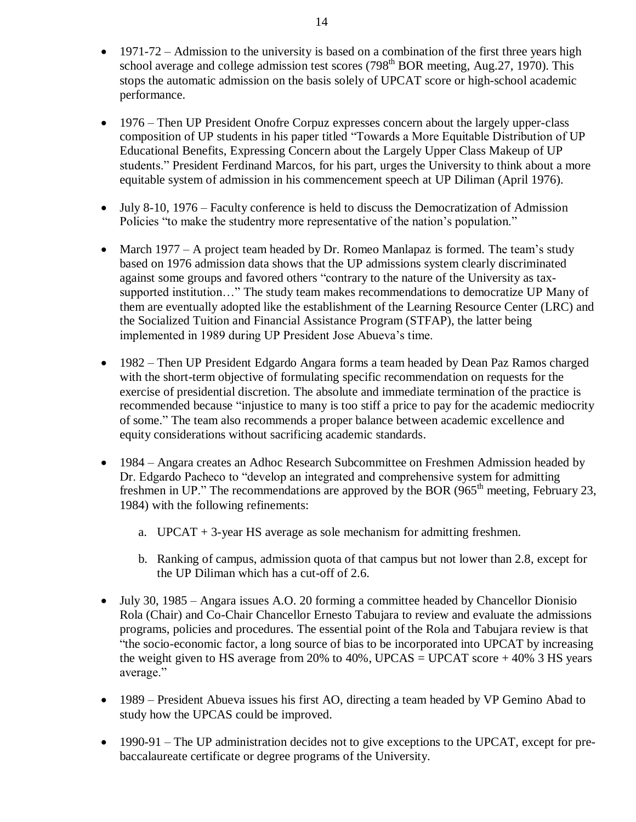- 1971-72 Admission to the university is based on a combination of the first three years high school average and college admission test scores  $(798<sup>th</sup> BOR meeting, Aug.27, 1970)$ . This stops the automatic admission on the basis solely of UPCAT score or high-school academic performance.
- 1976 Then UP President Onofre Corpuz expresses concern about the largely upper-class composition of UP students in his paper titled "Towards a More Equitable Distribution of UP Educational Benefits, Expressing Concern about the Largely Upper Class Makeup of UP students." President Ferdinand Marcos, for his part, urges the University to think about a more equitable system of admission in his commencement speech at UP Diliman (April 1976).
- July 8-10, 1976 Faculty conference is held to discuss the Democratization of Admission Policies "to make the studentry more representative of the nation"s population."
- March 1977 A project team headed by Dr. Romeo Manlapaz is formed. The team's study based on 1976 admission data shows that the UP admissions system clearly discriminated against some groups and favored others "contrary to the nature of the University as taxsupported institution…" The study team makes recommendations to democratize UP Many of them are eventually adopted like the establishment of the Learning Resource Center (LRC) and the Socialized Tuition and Financial Assistance Program (STFAP), the latter being implemented in 1989 during UP President Jose Abueva"s time.
- 1982 Then UP President Edgardo Angara forms a team headed by Dean Paz Ramos charged with the short-term objective of formulating specific recommendation on requests for the exercise of presidential discretion. The absolute and immediate termination of the practice is recommended because "injustice to many is too stiff a price to pay for the academic mediocrity of some." The team also recommends a proper balance between academic excellence and equity considerations without sacrificing academic standards.
- 1984 Angara creates an Adhoc Research Subcommittee on Freshmen Admission headed by Dr. Edgardo Pacheco to "develop an integrated and comprehensive system for admitting freshmen in UP." The recommendations are approved by the BOR ( $965<sup>th</sup>$  meeting, February 23, 1984) with the following refinements:
	- a. UPCAT + 3-year HS average as sole mechanism for admitting freshmen.
	- b. Ranking of campus, admission quota of that campus but not lower than 2.8, except for the UP Diliman which has a cut-off of 2.6.
- July 30, 1985 Angara issues A.O. 20 forming a committee headed by Chancellor Dionisio Rola (Chair) and Co-Chair Chancellor Ernesto Tabujara to review and evaluate the admissions programs, policies and procedures. The essential point of the Rola and Tabujara review is that "the socio-economic factor, a long source of bias to be incorporated into UPCAT by increasing the weight given to HS average from 20% to 40%, UPCAS = UPCAT score  $+40\%$  3 HS years average."
- 1989 President Abueva issues his first AO, directing a team headed by VP Gemino Abad to study how the UPCAS could be improved.
- 1990-91 The UP administration decides not to give exceptions to the UPCAT, except for prebaccalaureate certificate or degree programs of the University.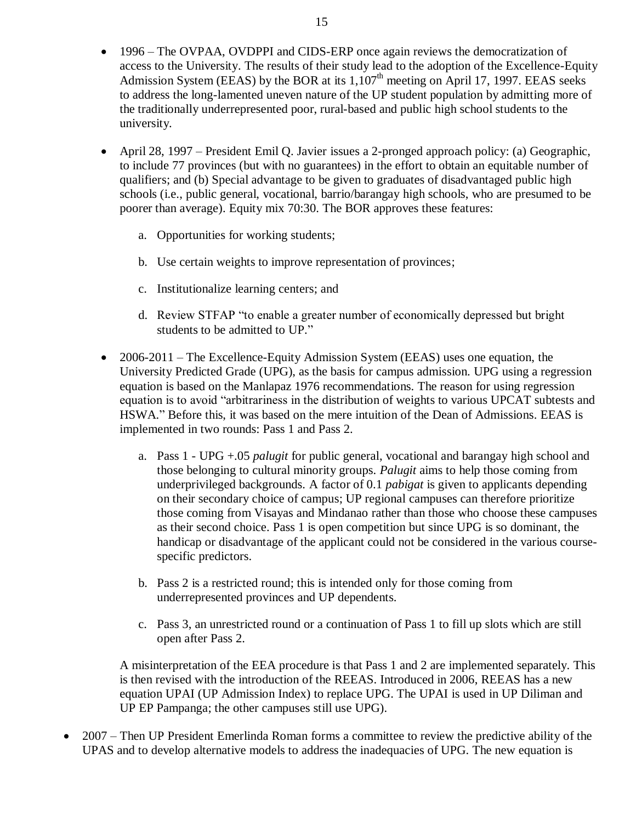- 1996 The OVPAA, OVDPPI and CIDS-ERP once again reviews the democratization of access to the University. The results of their study lead to the adoption of the Excellence-Equity Admission System (EEAS) by the BOR at its  $1,107<sup>th</sup>$  meeting on April 17, 1997. EEAS seeks to address the long-lamented uneven nature of the UP student population by admitting more of the traditionally underrepresented poor, rural-based and public high school students to the university.
- April 28, 1997 President Emil Q. Javier issues a 2-pronged approach policy: (a) Geographic, to include 77 provinces (but with no guarantees) in the effort to obtain an equitable number of qualifiers; and (b) Special advantage to be given to graduates of disadvantaged public high schools (i.e., public general, vocational, barrio/barangay high schools, who are presumed to be poorer than average). Equity mix 70:30. The BOR approves these features:
	- a. Opportunities for working students;
	- b. Use certain weights to improve representation of provinces;
	- c. Institutionalize learning centers; and
	- d. Review STFAP "to enable a greater number of economically depressed but bright students to be admitted to UP."
- 2006-2011 The Excellence-Equity Admission System (EEAS) uses one equation, the University Predicted Grade (UPG), as the basis for campus admission. UPG using a regression equation is based on the Manlapaz 1976 recommendations. The reason for using regression equation is to avoid "arbitrariness in the distribution of weights to various UPCAT subtests and HSWA." Before this, it was based on the mere intuition of the Dean of Admissions. EEAS is implemented in two rounds: Pass 1 and Pass 2.
	- a. Pass 1 UPG +.05 *palugit* for public general, vocational and barangay high school and those belonging to cultural minority groups. *Palugit* aims to help those coming from underprivileged backgrounds. A factor of 0.1 *pabigat* is given to applicants depending on their secondary choice of campus; UP regional campuses can therefore prioritize those coming from Visayas and Mindanao rather than those who choose these campuses as their second choice. Pass 1 is open competition but since UPG is so dominant, the handicap or disadvantage of the applicant could not be considered in the various coursespecific predictors.
	- b. Pass 2 is a restricted round; this is intended only for those coming from underrepresented provinces and UP dependents.
	- c. Pass 3, an unrestricted round or a continuation of Pass 1 to fill up slots which are still open after Pass 2.

A misinterpretation of the EEA procedure is that Pass 1 and 2 are implemented separately. This is then revised with the introduction of the REEAS. Introduced in 2006, REEAS has a new equation UPAI (UP Admission Index) to replace UPG. The UPAI is used in UP Diliman and UP EP Pampanga; the other campuses still use UPG).

• 2007 – Then UP President Emerlinda Roman forms a committee to review the predictive ability of the UPAS and to develop alternative models to address the inadequacies of UPG. The new equation is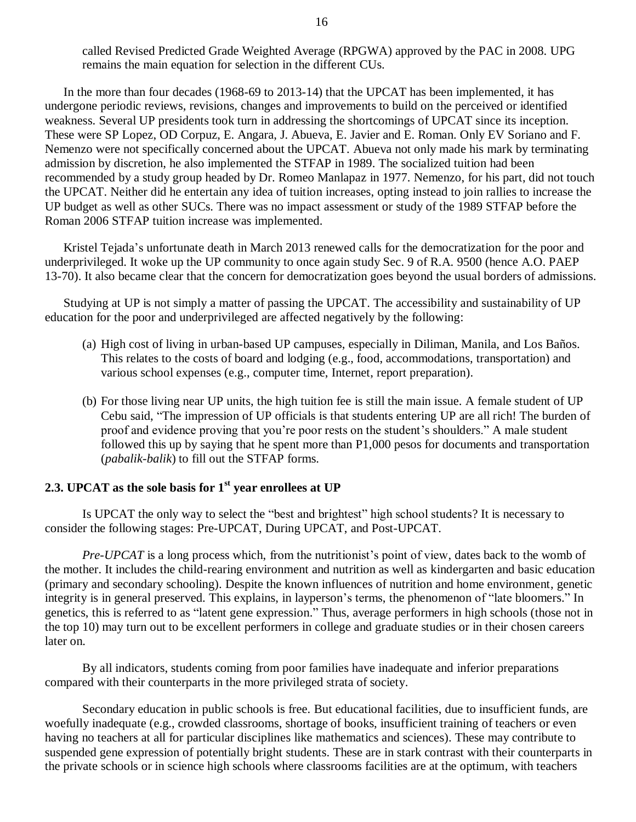called Revised Predicted Grade Weighted Average (RPGWA) approved by the PAC in 2008. UPG remains the main equation for selection in the different CUs.

In the more than four decades (1968-69 to 2013-14) that the UPCAT has been implemented, it has undergone periodic reviews, revisions, changes and improvements to build on the perceived or identified weakness. Several UP presidents took turn in addressing the shortcomings of UPCAT since its inception. These were SP Lopez, OD Corpuz, E. Angara, J. Abueva, E. Javier and E. Roman. Only EV Soriano and F. Nemenzo were not specifically concerned about the UPCAT. Abueva not only made his mark by terminating admission by discretion, he also implemented the STFAP in 1989. The socialized tuition had been recommended by a study group headed by Dr. Romeo Manlapaz in 1977. Nemenzo, for his part, did not touch the UPCAT. Neither did he entertain any idea of tuition increases, opting instead to join rallies to increase the UP budget as well as other SUCs. There was no impact assessment or study of the 1989 STFAP before the Roman 2006 STFAP tuition increase was implemented.

Kristel Tejada"s unfortunate death in March 2013 renewed calls for the democratization for the poor and underprivileged. It woke up the UP community to once again study Sec. 9 of R.A. 9500 (hence A.O. PAEP 13-70). It also became clear that the concern for democratization goes beyond the usual borders of admissions.

Studying at UP is not simply a matter of passing the UPCAT. The accessibility and sustainability of UP education for the poor and underprivileged are affected negatively by the following:

- (a) High cost of living in urban-based UP campuses, especially in Diliman, Manila, and Los Baños. This relates to the costs of board and lodging (e.g., food, accommodations, transportation) and various school expenses (e.g., computer time, Internet, report preparation).
- (b) For those living near UP units, the high tuition fee is still the main issue. A female student of UP Cebu said, "The impression of UP officials is that students entering UP are all rich! The burden of proof and evidence proving that you"re poor rests on the student"s shoulders." A male student followed this up by saying that he spent more than P1,000 pesos for documents and transportation (*pabalik-balik*) to fill out the STFAP forms.

## **2.3. UPCAT as the sole basis for 1st year enrollees at UP**

Is UPCAT the only way to select the "best and brightest" high school students? It is necessary to consider the following stages: Pre-UPCAT, During UPCAT, and Post-UPCAT.

*Pre-UPCAT* is a long process which, from the nutritionist's point of view, dates back to the womb of the mother. It includes the child-rearing environment and nutrition as well as kindergarten and basic education (primary and secondary schooling). Despite the known influences of nutrition and home environment, genetic integrity is in general preserved. This explains, in layperson's terms, the phenomenon of "late bloomers." In genetics, this is referred to as "latent gene expression." Thus, average performers in high schools (those not in the top 10) may turn out to be excellent performers in college and graduate studies or in their chosen careers later on.

By all indicators, students coming from poor families have inadequate and inferior preparations compared with their counterparts in the more privileged strata of society.

Secondary education in public schools is free. But educational facilities, due to insufficient funds, are woefully inadequate (e.g., crowded classrooms, shortage of books, insufficient training of teachers or even having no teachers at all for particular disciplines like mathematics and sciences). These may contribute to suspended gene expression of potentially bright students. These are in stark contrast with their counterparts in the private schools or in science high schools where classrooms facilities are at the optimum, with teachers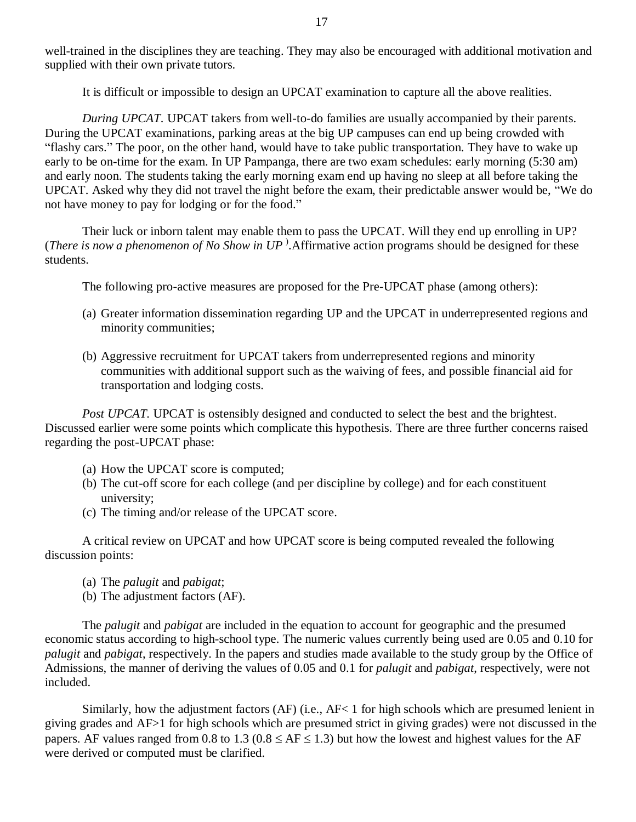well-trained in the disciplines they are teaching. They may also be encouraged with additional motivation and supplied with their own private tutors.

It is difficult or impossible to design an UPCAT examination to capture all the above realities.

*During UPCAT.* UPCAT takers from well-to-do families are usually accompanied by their parents. During the UPCAT examinations, parking areas at the big UP campuses can end up being crowded with "flashy cars." The poor, on the other hand, would have to take public transportation. They have to wake up early to be on-time for the exam. In UP Pampanga, there are two exam schedules: early morning (5:30 am) and early noon. The students taking the early morning exam end up having no sleep at all before taking the UPCAT. Asked why they did not travel the night before the exam, their predictable answer would be, "We do not have money to pay for lodging or for the food."

Their luck or inborn talent may enable them to pass the UPCAT. Will they end up enrolling in UP? (*There is now a phenomenon of No Show in UP* ) .Affirmative action programs should be designed for these students.

The following pro-active measures are proposed for the Pre-UPCAT phase (among others):

- (a) Greater information dissemination regarding UP and the UPCAT in underrepresented regions and minority communities;
- (b) Aggressive recruitment for UPCAT takers from underrepresented regions and minority communities with additional support such as the waiving of fees, and possible financial aid for transportation and lodging costs.

*Post UPCAT*. UPCAT is ostensibly designed and conducted to select the best and the brightest. Discussed earlier were some points which complicate this hypothesis. There are three further concerns raised regarding the post-UPCAT phase:

- (a) How the UPCAT score is computed;
- (b) The cut-off score for each college (and per discipline by college) and for each constituent university;
- (c) The timing and/or release of the UPCAT score.

A critical review on UPCAT and how UPCAT score is being computed revealed the following discussion points:

- (a) The *palugit* and *pabigat*;
- (b) The adjustment factors (AF).

The *palugit* and *pabigat* are included in the equation to account for geographic and the presumed economic status according to high-school type. The numeric values currently being used are 0.05 and 0.10 for *palugit* and *pabigat*, respectively. In the papers and studies made available to the study group by the Office of Admissions, the manner of deriving the values of 0.05 and 0.1 for *palugit* and *pabigat*, respectively, were not included.

Similarly, how the adjustment factors (AF) (i.e., AF< 1 for high schools which are presumed lenient in giving grades and AF>1 for high schools which are presumed strict in giving grades) were not discussed in the papers. AF values ranged from 0.8 to 1.3 ( $0.8 \le AF \le 1.3$ ) but how the lowest and highest values for the AF were derived or computed must be clarified.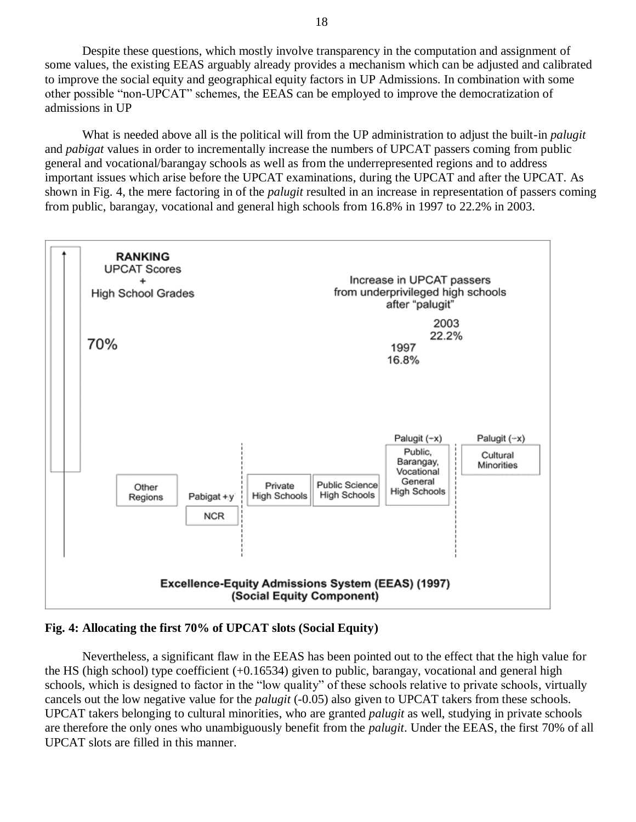Despite these questions, which mostly involve transparency in the computation and assignment of some values, the existing EEAS arguably already provides a mechanism which can be adjusted and calibrated to improve the social equity and geographical equity factors in UP Admissions. In combination with some other possible "non-UPCAT" schemes, the EEAS can be employed to improve the democratization of admissions in UP

What is needed above all is the political will from the UP administration to adjust the built-in *palugit* and *pabigat* values in order to incrementally increase the numbers of UPCAT passers coming from public general and vocational/barangay schools as well as from the underrepresented regions and to address important issues which arise before the UPCAT examinations, during the UPCAT and after the UPCAT. As shown in Fig. 4, the mere factoring in of the *palugit* resulted in an increase in representation of passers coming from public, barangay, vocational and general high schools from 16.8% in 1997 to 22.2% in 2003.



## **Fig. 4: Allocating the first 70% of UPCAT slots (Social Equity)**

Nevertheless, a significant flaw in the EEAS has been pointed out to the effect that the high value for the HS (high school) type coefficient  $(+0.16534)$  given to public, barangay, vocational and general high schools, which is designed to factor in the "low quality" of these schools relative to private schools, virtually cancels out the low negative value for the *palugit* (-0.05) also given to UPCAT takers from these schools. UPCAT takers belonging to cultural minorities, who are granted *palugit* as well, studying in private schools are therefore the only ones who unambiguously benefit from the *palugit*. Under the EEAS, the first 70% of all UPCAT slots are filled in this manner.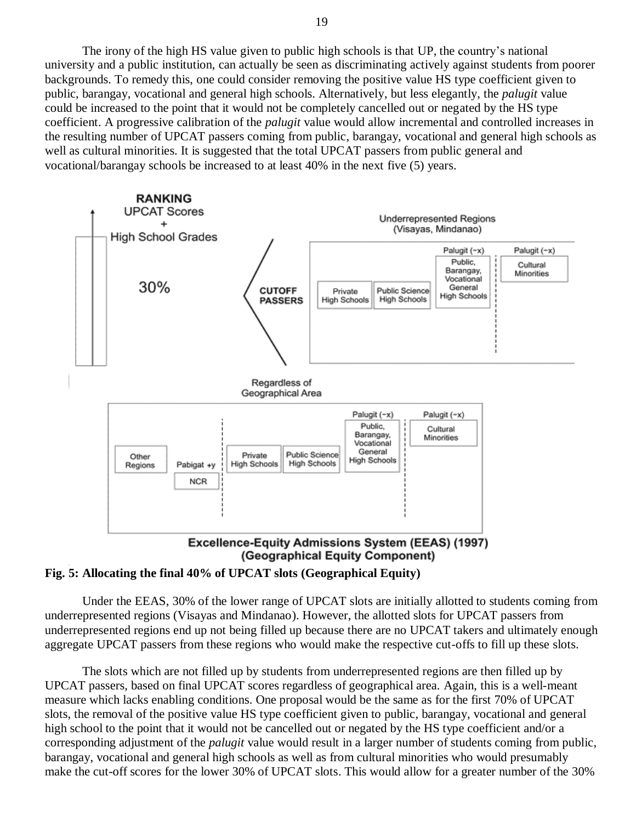The irony of the high HS value given to public high schools is that UP, the country"s national university and a public institution, can actually be seen as discriminating actively against students from poorer backgrounds. To remedy this, one could consider removing the positive value HS type coefficient given to public, barangay, vocational and general high schools. Alternatively, but less elegantly, the *palugit* value could be increased to the point that it would not be completely cancelled out or negated by the HS type coefficient. A progressive calibration of the *palugit* value would allow incremental and controlled increases in the resulting number of UPCAT passers coming from public, barangay, vocational and general high schools as well as cultural minorities. It is suggested that the total UPCAT passers from public general and vocational/barangay schools be increased to at least 40% in the next five (5) years.



(Geographical Equity Component)



Under the EEAS, 30% of the lower range of UPCAT slots are initially allotted to students coming from underrepresented regions (Visayas and Mindanao). However, the allotted slots for UPCAT passers from underrepresented regions end up not being filled up because there are no UPCAT takers and ultimately enough aggregate UPCAT passers from these regions who would make the respective cut-offs to fill up these slots.

The slots which are not filled up by students from underrepresented regions are then filled up by UPCAT passers, based on final UPCAT scores regardless of geographical area. Again, this is a well-meant measure which lacks enabling conditions. One proposal would be the same as for the first 70% of UPCAT slots, the removal of the positive value HS type coefficient given to public, barangay, vocational and general high school to the point that it would not be cancelled out or negated by the HS type coefficient and/or a corresponding adjustment of the *palugit* value would result in a larger number of students coming from public, barangay, vocational and general high schools as well as from cultural minorities who would presumably make the cut-off scores for the lower 30% of UPCAT slots. This would allow for a greater number of the 30%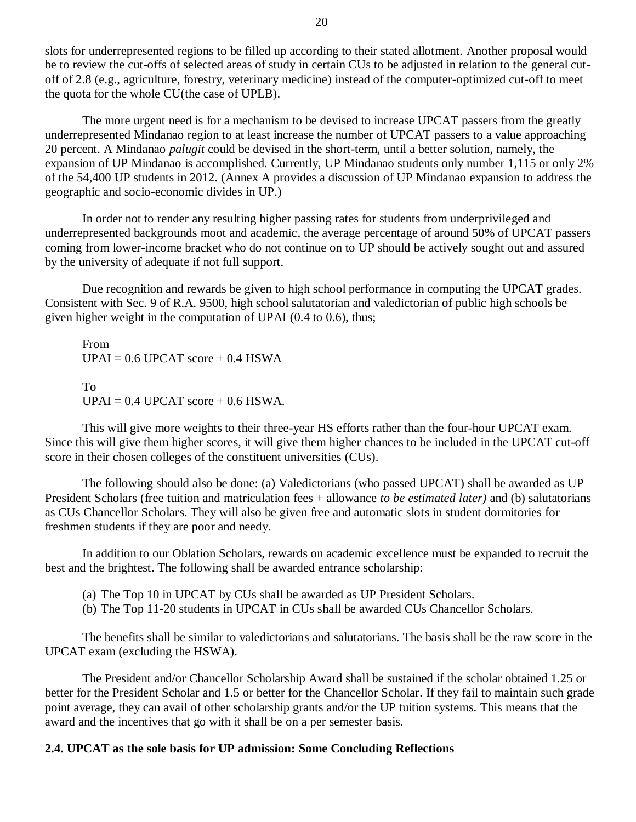slots for underrepresented regions to be filled up according to their stated allotment. Another proposal would be to review the cut-offs of selected areas of study in certain CUs to be adjusted in relation to the general cutoff of 2.8 (e.g., agriculture, forestry, veterinary medicine) instead of the computer-optimized cut-off to meet the quota for the whole CU(the case of UPLB).

The more urgent need is for a mechanism to be devised to increase UPCAT passers from the greatly underrepresented Mindanao region to at least increase the number of UPCAT passers to a value approaching 20 percent. A Mindanao *palugit* could be devised in the short-term, until a better solution, namely, the expansion of UP Mindanao is accomplished. Currently, UP Mindanao students only number 1,115 or only 2% of the 54,400 UP students in 2012. (Annex A provides a discussion of UP Mindanao expansion to address the geographic and socio-economic divides in UP.)

In order not to render any resulting higher passing rates for students from underprivileged and underrepresented backgrounds moot and academic, the average percentage of around 50% of UPCAT passers coming from lower-income bracket who do not continue on to UP should be actively sought out and assured by the university of adequate if not full support.

Due recognition and rewards be given to high school performance in computing the UPCAT grades. Consistent with Sec. 9 of R.A. 9500, high school salutatorian and valedictorian of public high schools be given higher weight in the computation of UPAI (0.4 to 0.6), thus;

From  $UPAI = 0.6 UPCAT score + 0.4 HSWA$ To  $UPAI = 0.4 UPCAT score + 0.6 HSWA.$ 

This will give more weights to their three-year HS efforts rather than the four-hour UPCAT exam. Since this will give them higher scores, it will give them higher chances to be included in the UPCAT cut-off score in their chosen colleges of the constituent universities (CUs).

The following should also be done: (a) Valedictorians (who passed UPCAT) shall be awarded as UP President Scholars (free tuition and matriculation fees + allowance *to be estimated later)* and (b) salutatorians as CUs Chancellor Scholars. They will also be given free and automatic slots in student dormitories for freshmen students if they are poor and needy.

In addition to our Oblation Scholars, rewards on academic excellence must be expanded to recruit the best and the brightest. The following shall be awarded entrance scholarship:

(a) The Top 10 in UPCAT by CUs shall be awarded as UP President Scholars.

(b) The Top 11-20 students in UPCAT in CUs shall be awarded CUs Chancellor Scholars.

The benefits shall be similar to valedictorians and salutatorians. The basis shall be the raw score in the UPCAT exam (excluding the HSWA).

The President and/or Chancellor Scholarship Award shall be sustained if the scholar obtained 1.25 or better for the President Scholar and 1.5 or better for the Chancellor Scholar. If they fail to maintain such grade point average, they can avail of other scholarship grants and/or the UP tuition systems. This means that the award and the incentives that go with it shall be on a per semester basis.

## **2.4. UPCAT as the sole basis for UP admission: Some Concluding Reflections**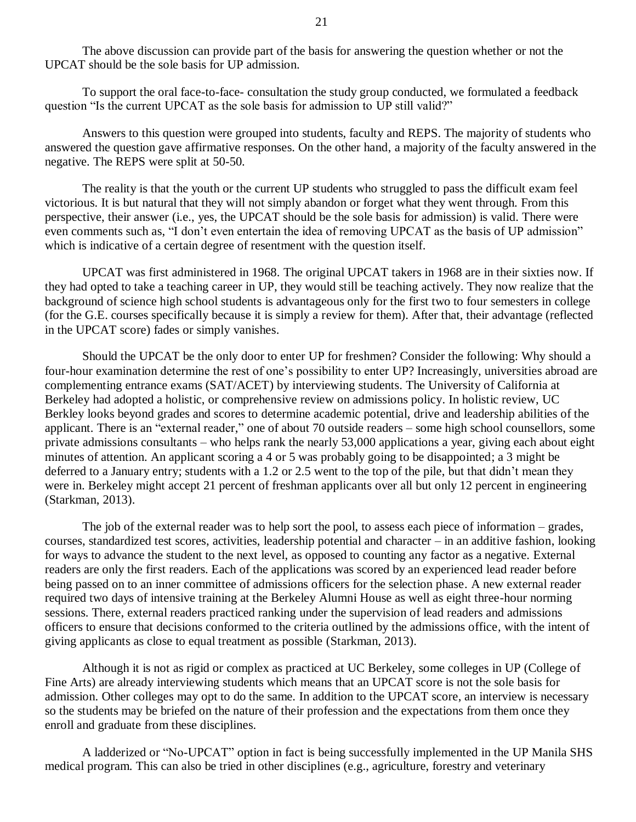The above discussion can provide part of the basis for answering the question whether or not the UPCAT should be the sole basis for UP admission.

To support the oral face-to-face- consultation the study group conducted, we formulated a feedback question "Is the current UPCAT as the sole basis for admission to UP still valid?"

Answers to this question were grouped into students, faculty and REPS. The majority of students who answered the question gave affirmative responses. On the other hand, a majority of the faculty answered in the negative. The REPS were split at 50-50.

The reality is that the youth or the current UP students who struggled to pass the difficult exam feel victorious. It is but natural that they will not simply abandon or forget what they went through. From this perspective, their answer (i.e., yes, the UPCAT should be the sole basis for admission) is valid. There were even comments such as, "I don"t even entertain the idea of removing UPCAT as the basis of UP admission" which is indicative of a certain degree of resentment with the question itself.

UPCAT was first administered in 1968. The original UPCAT takers in 1968 are in their sixties now. If they had opted to take a teaching career in UP, they would still be teaching actively. They now realize that the background of science high school students is advantageous only for the first two to four semesters in college (for the G.E. courses specifically because it is simply a review for them). After that, their advantage (reflected in the UPCAT score) fades or simply vanishes.

Should the UPCAT be the only door to enter UP for freshmen? Consider the following: Why should a four-hour examination determine the rest of one"s possibility to enter UP? Increasingly, universities abroad are complementing entrance exams (SAT/ACET) by interviewing students. The University of California at Berkeley had adopted a holistic, or comprehensive review on admissions policy. In holistic review, UC Berkley looks beyond grades and scores to determine academic potential, drive and leadership abilities of the applicant. There is an "external reader," one of about 70 outside readers – some high school counsellors, some private admissions consultants – who helps rank the nearly 53,000 applications a year, giving each about eight minutes of attention. An applicant scoring a 4 or 5 was probably going to be disappointed; a 3 might be deferred to a January entry; students with a 1.2 or 2.5 went to the top of the pile, but that didn"t mean they were in. Berkeley might accept 21 percent of freshman applicants over all but only 12 percent in engineering (Starkman, 2013).

The job of the external reader was to help sort the pool, to assess each piece of information – grades, courses, standardized test scores, activities, leadership potential and character – in an additive fashion, looking for ways to advance the student to the next level, as opposed to counting any factor as a negative. External readers are only the first readers. Each of the applications was scored by an experienced lead reader before being passed on to an inner committee of admissions officers for the selection phase. A new external reader required two days of intensive training at the Berkeley Alumni House as well as eight three-hour norming sessions. There, external readers practiced ranking under the supervision of lead readers and admissions officers to ensure that decisions conformed to the criteria outlined by the admissions office, with the intent of giving applicants as close to equal treatment as possible (Starkman, 2013).

Although it is not as rigid or complex as practiced at UC Berkeley, some colleges in UP (College of Fine Arts) are already interviewing students which means that an UPCAT score is not the sole basis for admission. Other colleges may opt to do the same. In addition to the UPCAT score, an interview is necessary so the students may be briefed on the nature of their profession and the expectations from them once they enroll and graduate from these disciplines.

A ladderized or "No-UPCAT" option in fact is being successfully implemented in the UP Manila SHS medical program. This can also be tried in other disciplines (e.g., agriculture, forestry and veterinary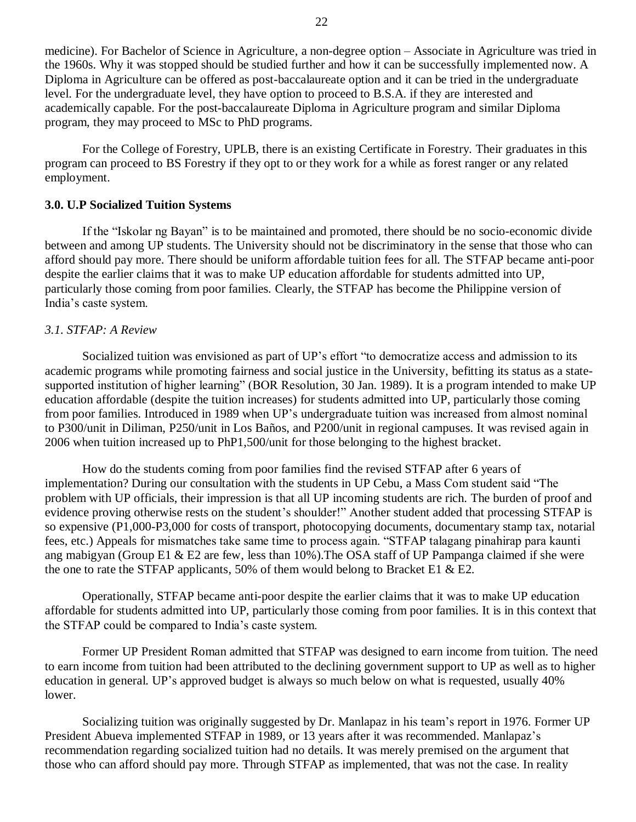medicine). For Bachelor of Science in Agriculture, a non-degree option – Associate in Agriculture was tried in the 1960s. Why it was stopped should be studied further and how it can be successfully implemented now. A Diploma in Agriculture can be offered as post-baccalaureate option and it can be tried in the undergraduate level. For the undergraduate level, they have option to proceed to B.S.A. if they are interested and academically capable. For the post-baccalaureate Diploma in Agriculture program and similar Diploma program, they may proceed to MSc to PhD programs.

For the College of Forestry, UPLB, there is an existing Certificate in Forestry. Their graduates in this program can proceed to BS Forestry if they opt to or they work for a while as forest ranger or any related employment.

### **3.0. U.P Socialized Tuition Systems**

If the "Iskolar ng Bayan" is to be maintained and promoted, there should be no socio-economic divide between and among UP students. The University should not be discriminatory in the sense that those who can afford should pay more. There should be uniform affordable tuition fees for all. The STFAP became anti-poor despite the earlier claims that it was to make UP education affordable for students admitted into UP, particularly those coming from poor families. Clearly, the STFAP has become the Philippine version of India"s caste system.

## *3.1. STFAP: A Review*

Socialized tuition was envisioned as part of UP's effort "to democratize access and admission to its academic programs while promoting fairness and social justice in the University, befitting its status as a statesupported institution of higher learning" (BOR Resolution, 30 Jan. 1989). It is a program intended to make UP education affordable (despite the tuition increases) for students admitted into UP, particularly those coming from poor families. Introduced in 1989 when UP"s undergraduate tuition was increased from almost nominal to P300/unit in Diliman, P250/unit in Los Baños, and P200/unit in regional campuses. It was revised again in 2006 when tuition increased up to PhP1,500/unit for those belonging to the highest bracket.

How do the students coming from poor families find the revised STFAP after 6 years of implementation? During our consultation with the students in UP Cebu, a Mass Com student said "The problem with UP officials, their impression is that all UP incoming students are rich. The burden of proof and evidence proving otherwise rests on the student's shoulder!" Another student added that processing STFAP is so expensive (P1,000-P3,000 for costs of transport, photocopying documents, documentary stamp tax, notarial fees, etc.) Appeals for mismatches take same time to process again. "STFAP talagang pinahirap para kaunti ang mabigyan (Group E1 & E2 are few, less than  $10\%$ ). The OSA staff of UP Pampanga claimed if she were the one to rate the STFAP applicants, 50% of them would belong to Bracket E1  $\&$  E2.

Operationally, STFAP became anti-poor despite the earlier claims that it was to make UP education affordable for students admitted into UP, particularly those coming from poor families. It is in this context that the STFAP could be compared to India"s caste system.

Former UP President Roman admitted that STFAP was designed to earn income from tuition. The need to earn income from tuition had been attributed to the declining government support to UP as well as to higher education in general. UP's approved budget is always so much below on what is requested, usually 40% lower.

Socializing tuition was originally suggested by Dr. Manlapaz in his team"s report in 1976. Former UP President Abueva implemented STFAP in 1989, or 13 years after it was recommended. Manlapaz"s recommendation regarding socialized tuition had no details. It was merely premised on the argument that those who can afford should pay more. Through STFAP as implemented*,* that was not the case. In reality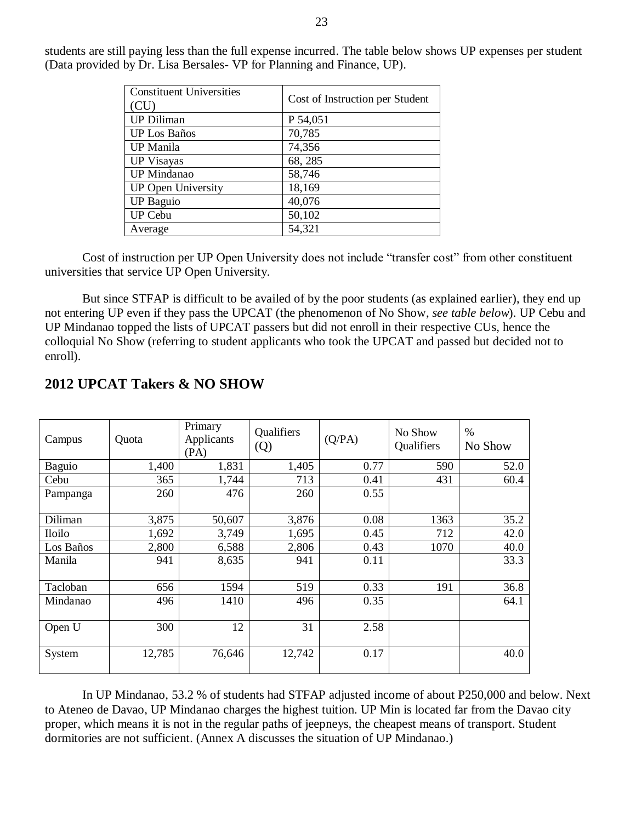| <b>Constituent Universities</b> | Cost of Instruction per Student |
|---------------------------------|---------------------------------|
| (CU)                            |                                 |
| <b>UP Diliman</b>               | P 54,051                        |
| <b>UP</b> Los Baños             | 70,785                          |
| <b>UP</b> Manila                | 74,356                          |
| <b>UP Visayas</b>               | 68, 285                         |
| <b>UP</b> Mindanao              | 58,746                          |
| <b>UP Open University</b>       | 18,169                          |
| <b>UP Baguio</b>                | 40,076                          |
| <b>UP Cebu</b>                  | 50,102                          |
| Average                         | 54,321                          |

students are still paying less than the full expense incurred. The table below shows UP expenses per student (Data provided by Dr. Lisa Bersales- VP for Planning and Finance, UP).

Cost of instruction per UP Open University does not include "transfer cost" from other constituent universities that service UP Open University.

But since STFAP is difficult to be availed of by the poor students (as explained earlier), they end up not entering UP even if they pass the UPCAT (the phenomenon of No Show, *see table below*). UP Cebu and UP Mindanao topped the lists of UPCAT passers but did not enroll in their respective CUs, hence the colloquial No Show (referring to student applicants who took the UPCAT and passed but decided not to enroll).

| Campus        | Quota  | Primary<br>Applicants<br>(PA) | Qualifiers<br>(Q) | (Q/PA) | No Show<br>Qualifiers | $\%$<br>No Show |
|---------------|--------|-------------------------------|-------------------|--------|-----------------------|-----------------|
| Baguio        | 1,400  | 1,831                         | 1,405             | 0.77   | 590                   | 52.0            |
| Cebu          | 365    | 1,744                         | 713               | 0.41   | 431                   | 60.4            |
| Pampanga      | 260    | 476                           | 260               | 0.55   |                       |                 |
| Diliman       | 3,875  | 50,607                        | 3,876             | 0.08   | 1363                  | 35.2            |
| <b>Iloilo</b> | 1,692  | 3,749                         | 1,695             | 0.45   | 712                   | 42.0            |
| Los Baños     | 2,800  | 6,588                         | 2,806             | 0.43   | 1070                  | 40.0            |
| Manila        | 941    | 8,635                         | 941               | 0.11   |                       | 33.3            |
| Tacloban      | 656    | 1594                          | 519               | 0.33   | 191                   | 36.8            |
| Mindanao      | 496    | 1410                          | 496               | 0.35   |                       | 64.1            |
| Open U        | 300    | 12                            | 31                | 2.58   |                       |                 |
| System        | 12,785 | 76,646                        | 12,742            | 0.17   |                       | 40.0            |

## **2012 UPCAT Takers & NO SHOW**

In UP Mindanao, 53.2 % of students had STFAP adjusted income of about P250,000 and below. Next to Ateneo de Davao, UP Mindanao charges the highest tuition. UP Min is located far from the Davao city proper, which means it is not in the regular paths of jeepneys, the cheapest means of transport. Student dormitories are not sufficient. (Annex A discusses the situation of UP Mindanao.)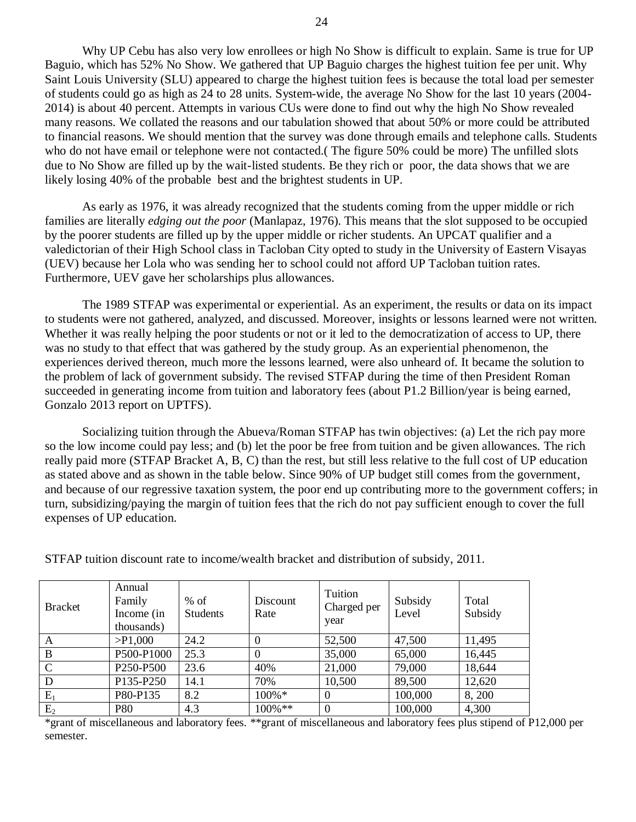Why UP Cebu has also very low enrollees or high No Show is difficult to explain. Same is true for UP Baguio, which has 52% No Show. We gathered that UP Baguio charges the highest tuition fee per unit. Why Saint Louis University (SLU) appeared to charge the highest tuition fees is because the total load per semester of students could go as high as 24 to 28 units. System-wide, the average No Show for the last 10 years (2004- 2014) is about 40 percent. Attempts in various CUs were done to find out why the high No Show revealed many reasons. We collated the reasons and our tabulation showed that about 50% or more could be attributed to financial reasons. We should mention that the survey was done through emails and telephone calls. Students who do not have email or telephone were not contacted.( The figure 50% could be more) The unfilled slots due to No Show are filled up by the wait-listed students. Be they rich or poor, the data shows that we are likely losing 40% of the probable best and the brightest students in UP.

As early as 1976, it was already recognized that the students coming from the upper middle or rich families are literally *edging out the poor* (Manlapaz, 1976). This means that the slot supposed to be occupied by the poorer students are filled up by the upper middle or richer students. An UPCAT qualifier and a valedictorian of their High School class in Tacloban City opted to study in the University of Eastern Visayas (UEV) because her Lola who was sending her to school could not afford UP Tacloban tuition rates. Furthermore, UEV gave her scholarships plus allowances.

The 1989 STFAP was experimental or experiential. As an experiment, the results or data on its impact to students were not gathered, analyzed, and discussed. Moreover, insights or lessons learned were not written. Whether it was really helping the poor students or not or it led to the democratization of access to UP, there was no study to that effect that was gathered by the study group. As an experiential phenomenon, the experiences derived thereon, much more the lessons learned, were also unheard of. It became the solution to the problem of lack of government subsidy. The revised STFAP during the time of then President Roman succeeded in generating income from tuition and laboratory fees (about P1.2 Billion/year is being earned, Gonzalo 2013 report on UPTFS).

Socializing tuition through the Abueva/Roman STFAP has twin objectives: (a) Let the rich pay more so the low income could pay less; and (b) let the poor be free from tuition and be given allowances. The rich really paid more (STFAP Bracket A, B, C) than the rest, but still less relative to the full cost of UP education as stated above and as shown in the table below. Since 90% of UP budget still comes from the government, and because of our regressive taxation system, the poor end up contributing more to the government coffers; in turn, subsidizing/paying the margin of tuition fees that the rich do not pay sufficient enough to cover the full expenses of UP education.

| <b>Bracket</b> | Annual<br>Family<br>Income (in<br>thousands) | $%$ of<br><b>Students</b> | Discount<br>Rate | Tuition<br>Charged per<br>year | Subsidy<br>Level | Total<br>Subsidy |
|----------------|----------------------------------------------|---------------------------|------------------|--------------------------------|------------------|------------------|
| A              | $>$ P1,000                                   | 24.2                      | $\Omega$         | 52,500                         | 47,500           | 11,495           |
| B              | P500-P1000                                   | 25.3                      | $\Omega$         | 35,000                         | 65,000           | 16,445           |
| $\mathcal{C}$  | P <sub>250</sub> -P <sub>500</sub>           | 23.6                      | 40%              | 21,000                         | 79,000           | 18,644           |
| D              | P135-P250                                    | 14.1                      | 70%              | 10,500                         | 89,500           | 12,620           |
| $E_1$          | P80-P135                                     | 8.2                       | $100\% *$        | $\Omega$                       | 100,000          | 8, 200           |
| $E_2$          | <b>P80</b>                                   | 4.3                       | $100\%$ **       | $\theta$                       | 100,000          | 4,300            |

STFAP tuition discount rate to income/wealth bracket and distribution of subsidy, 2011.

\*grant of miscellaneous and laboratory fees. \*\*grant of miscellaneous and laboratory fees plus stipend of P12,000 per semester.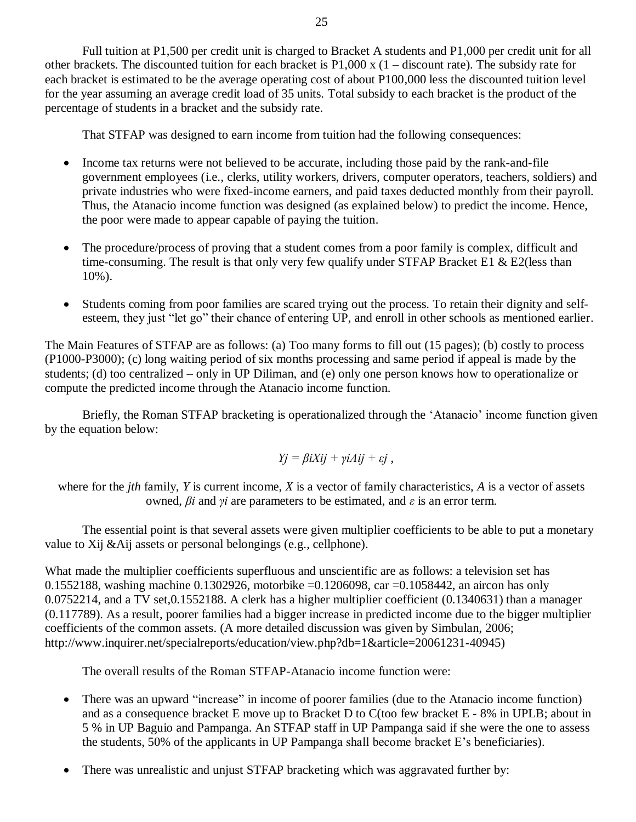Full tuition at P1,500 per credit unit is charged to Bracket A students and P1,000 per credit unit for all other brackets. The discounted tuition for each bracket is  $P1,000 \times (1 -$  discount rate). The subsidy rate for each bracket is estimated to be the average operating cost of about P100,000 less the discounted tuition level for the year assuming an average credit load of 35 units. Total subsidy to each bracket is the product of the percentage of students in a bracket and the subsidy rate.

That STFAP was designed to earn income from tuition had the following consequences:

- Income tax returns were not believed to be accurate, including those paid by the rank-and-file government employees (i.e., clerks, utility workers, drivers, computer operators, teachers, soldiers) and private industries who were fixed-income earners, and paid taxes deducted monthly from their payroll. Thus, the Atanacio income function was designed (as explained below) to predict the income. Hence, the poor were made to appear capable of paying the tuition.
- The procedure/process of proving that a student comes from a poor family is complex, difficult and time-consuming. The result is that only very few qualify under STFAP Bracket E1  $\&$  E2(less than 10%).
- Students coming from poor families are scared trying out the process. To retain their dignity and selfesteem, they just "let go" their chance of entering UP, and enroll in other schools as mentioned earlier.

The Main Features of STFAP are as follows: (a) Too many forms to fill out (15 pages); (b) costly to process (P1000-P3000); (c) long waiting period of six months processing and same period if appeal is made by the students; (d) too centralized – only in UP Diliman, and (e) only one person knows how to operationalize or compute the predicted income through the Atanacio income function.

Briefly, the Roman STFAP bracketing is operationalized through the 'Atanacio' income function given by the equation below:

$$
Yj = \beta iXij + \gamma iAij + \varepsilon j
$$
,

where for the *jth* family, *Y* is current income, *X* is a vector of family characteristics, *A* is a vector of assets owned, *βi* and *γi* are parameters to be estimated, and *ε* is an error term.

The essential point is that several assets were given multiplier coefficients to be able to put a monetary value to Xij &Aij assets or personal belongings (e.g., cellphone).

What made the multiplier coefficients superfluous and unscientific are as follows: a television set has 0.1552188, washing machine 0.1302926, motorbike =0.1206098, car =0.1058442, an aircon has only 0.0752214, and a TV set,0.1552188. A clerk has a higher multiplier coefficient (0.1340631) than a manager (0.117789). As a result, poorer families had a bigger increase in predicted income due to the bigger multiplier coefficients of the common assets. (A more detailed discussion was given by Simbulan, 2006; http://www.inquirer.net/specialreports/education/view.php?db=1&article=20061231-40945)

The overall results of the Roman STFAP-Atanacio income function were:

- There was an upward "increase" in income of poorer families (due to the Atanacio income function) and as a consequence bracket E move up to Bracket D to C(too few bracket E - 8% in UPLB; about in 5 % in UP Baguio and Pampanga. An STFAP staff in UP Pampanga said if she were the one to assess the students, 50% of the applicants in UP Pampanga shall become bracket E"s beneficiaries).
- There was unrealistic and unjust STFAP bracketing which was aggravated further by: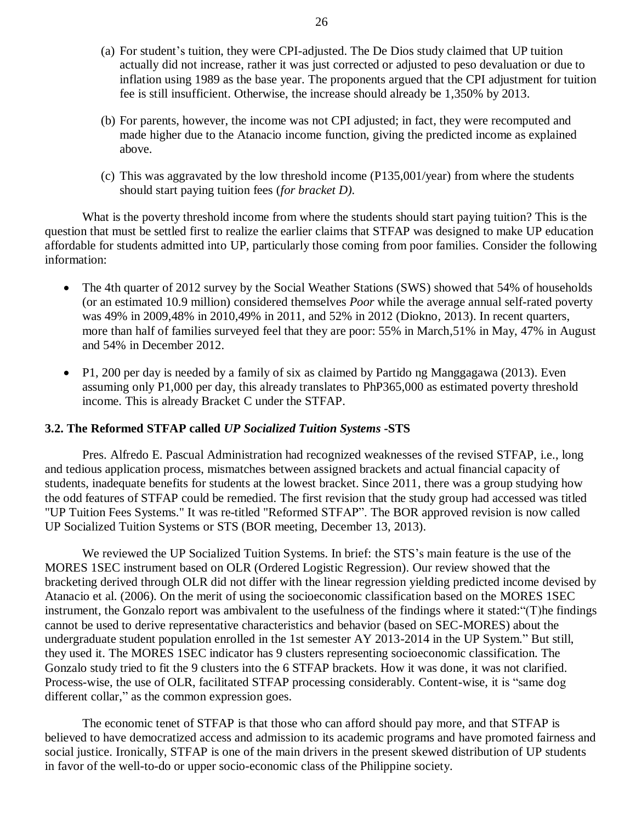- (a) For student"s tuition, they were CPI-adjusted. The De Dios study claimed that UP tuition actually did not increase, rather it was just corrected or adjusted to peso devaluation or due to inflation using 1989 as the base year. The proponents argued that the CPI adjustment for tuition fee is still insufficient. Otherwise, the increase should already be 1,350% by 2013.
- (b) For parents, however, the income was not CPI adjusted; in fact, they were recomputed and made higher due to the Atanacio income function, giving the predicted income as explained above.
- (c) This was aggravated by the low threshold income (P135,001/year) from where the students should start paying tuition fees (*for bracket D).*

What is the poverty threshold income from where the students should start paying tuition? This is the question that must be settled first to realize the earlier claims that STFAP was designed to make UP education affordable for students admitted into UP, particularly those coming from poor families*.* Consider the following information:

- The 4th quarter of 2012 survey by the Social Weather Stations (SWS) showed that 54% of households (or an estimated 10.9 million) considered themselves *Poor* while the average annual self-rated poverty was 49% in 2009,48% in 2010,49% in 2011, and 52% in 2012 (Diokno, 2013). In recent quarters, more than half of families surveyed feel that they are poor: 55% in March,51% in May, 47% in August and 54% in December 2012.
- P1, 200 per day is needed by a family of six as claimed by Partido ng Manggagawa (2013). Even assuming only P1,000 per day, this already translates to PhP365,000 as estimated poverty threshold income. This is already Bracket C under the STFAP.

## **3.2. The Reformed STFAP called** *UP Socialized Tuition Systems* **-STS**

Pres. Alfredo E. Pascual Administration had recognized weaknesses of the revised STFAP, i.e., long and tedious application process, mismatches between assigned brackets and actual financial capacity of students, inadequate benefits for students at the lowest bracket. Since 2011, there was a group studying how the odd features of STFAP could be remedied. The first revision that the study group had accessed was titled "UP Tuition Fees Systems." It was re-titled "Reformed STFAP". The BOR approved revision is now called UP Socialized Tuition Systems or STS (BOR meeting, December 13, 2013).

We reviewed the UP Socialized Tuition Systems. In brief: the STS's main feature is the use of the MORES 1SEC instrument based on OLR (Ordered Logistic Regression). Our review showed that the bracketing derived through OLR did not differ with the linear regression yielding predicted income devised by Atanacio et al. (2006). On the merit of using the socioeconomic classification based on the MORES 1SEC instrument, the Gonzalo report was ambivalent to the usefulness of the findings where it stated:"(T)he findings cannot be used to derive representative characteristics and behavior (based on SEC-MORES) about the undergraduate student population enrolled in the 1st semester AY 2013-2014 in the UP System." But still, they used it. The MORES 1SEC indicator has 9 clusters representing socioeconomic classification. The Gonzalo study tried to fit the 9 clusters into the 6 STFAP brackets. How it was done, it was not clarified. Process-wise, the use of OLR, facilitated STFAP processing considerably. Content-wise, it is "same dog different collar," as the common expression goes.

The economic tenet of STFAP is that those who can afford should pay more, and that STFAP is believed to have democratized access and admission to its academic programs and have promoted fairness and social justice. Ironically, STFAP is one of the main drivers in the present skewed distribution of UP students in favor of the well-to-do or upper socio-economic class of the Philippine society.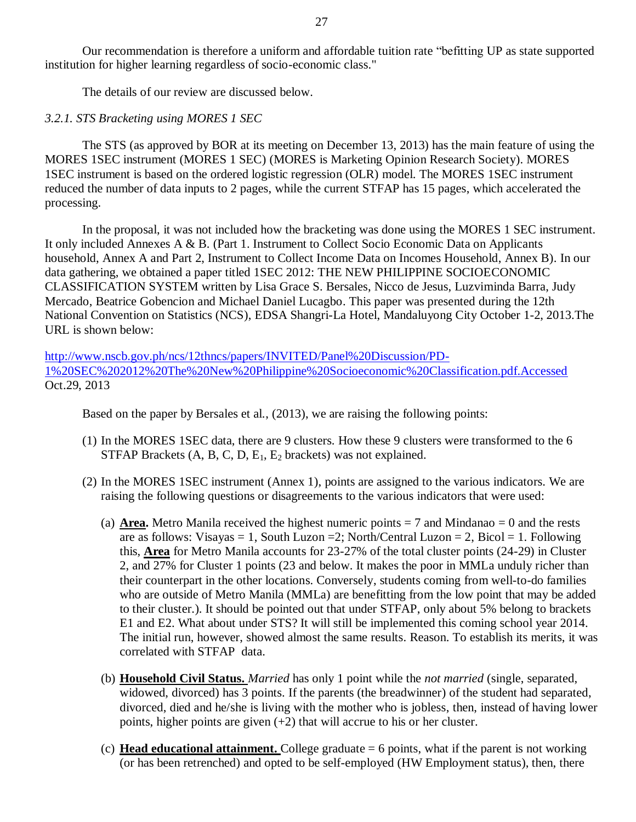Our recommendation is therefore a uniform and affordable tuition rate "befitting UP as state supported institution for higher learning regardless of socio-economic class."

The details of our review are discussed below.

## *3.2.1. STS Bracketing using MORES 1 SEC*

The STS (as approved by BOR at its meeting on December 13, 2013) has the main feature of using the MORES 1SEC instrument (MORES 1 SEC) (MORES is Marketing Opinion Research Society). MORES 1SEC instrument is based on the ordered logistic regression (OLR) model. The MORES 1SEC instrument reduced the number of data inputs to 2 pages, while the current STFAP has 15 pages, which accelerated the processing.

In the proposal, it was not included how the bracketing was done using the MORES 1 SEC instrument. It only included Annexes A & B. (Part 1. Instrument to Collect Socio Economic Data on Applicants household, Annex A and Part 2, Instrument to Collect Income Data on Incomes Household, Annex B). In our data gathering, we obtained a paper titled 1SEC 2012: THE NEW PHILIPPINE SOCIOECONOMIC CLASSIFICATION SYSTEM written by Lisa Grace S. Bersales, Nicco de Jesus, Luzviminda Barra, Judy Mercado, Beatrice Gobencion and Michael Daniel Lucagbo. This paper was presented during the 12th National Convention on Statistics (NCS), EDSA Shangri-La Hotel, Mandaluyong City October 1-2, 2013.The URL is shown below:

[http://www.nscb.gov.ph/ncs/12thncs/papers/INVITED/Panel%20Discussion/PD-](http://www.nscb.gov.ph/ncs/12thncs/papers/INVITED/Panel%20Discussion/PD-1%20SEC%202012%20The%20New%20Philippine%20Socioeconomic%20Classification.pdf.Accessed)[1%20SEC%202012%20The%20New%20Philippine%20Socioeconomic%20Classification.pdf.Accessed](http://www.nscb.gov.ph/ncs/12thncs/papers/INVITED/Panel%20Discussion/PD-1%20SEC%202012%20The%20New%20Philippine%20Socioeconomic%20Classification.pdf.Accessed) Oct.29, 2013

Based on the paper by Bersales et al., (2013), we are raising the following points:

- (1) In the MORES 1SEC data, there are 9 clusters. How these 9 clusters were transformed to the 6 STFAP Brackets  $(A, B, C, D, E_1, E_2$  brackets) was not explained.
- (2) In the MORES 1SEC instrument (Annex 1), points are assigned to the various indicators. We are raising the following questions or disagreements to the various indicators that were used:
	- (a) **Area.** Metro Manila received the highest numeric points  $= 7$  and Mindanao  $= 0$  and the rests are as follows: Visayas = 1, South Luzon = 2; North/Central Luzon = 2, Bicol = 1. Following this, **Area** for Metro Manila accounts for 23-27% of the total cluster points (24-29) in Cluster 2, and 27% for Cluster 1 points (23 and below. It makes the poor in MMLa unduly richer than their counterpart in the other locations. Conversely, students coming from well-to-do families who are outside of Metro Manila (MMLa) are benefitting from the low point that may be added to their cluster.). It should be pointed out that under STFAP, only about 5% belong to brackets E1 and E2. What about under STS? It will still be implemented this coming school year 2014. The initial run, however, showed almost the same results. Reason. To establish its merits, it was correlated with STFAP data.
	- (b) **Household Civil Status.** *Married* has only 1 point while the *not married* (single, separated, widowed, divorced) has 3 points. If the parents (the breadwinner) of the student had separated, divorced, died and he/she is living with the mother who is jobless, then, instead of having lower points, higher points are given  $(+2)$  that will accrue to his or her cluster.
	- (c) **Head educational attainment.** College graduate = 6 points, what if the parent is not working (or has been retrenched) and opted to be self-employed (HW Employment status), then, there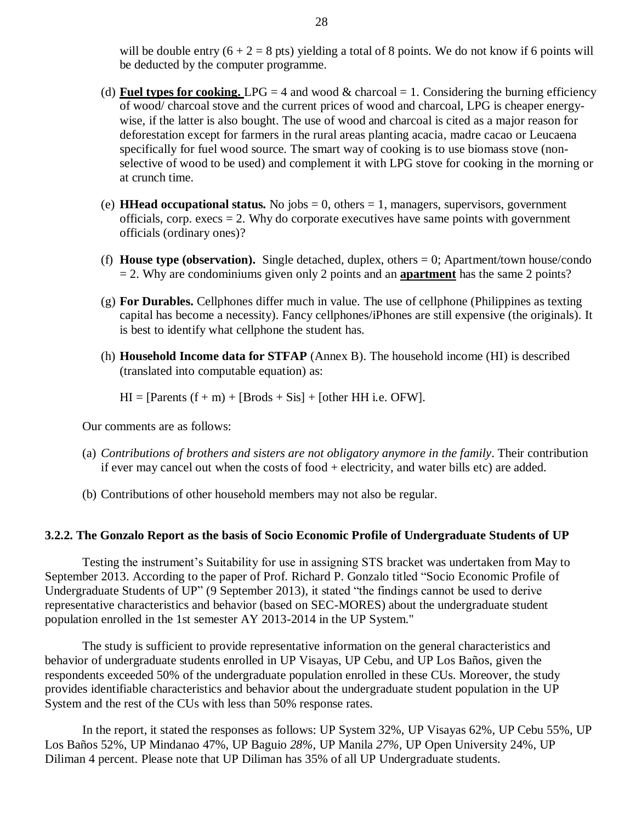will be double entry  $(6 + 2 = 8$  pts) yielding a total of 8 points. We do not know if 6 points will be deducted by the computer programme.

- (d) **Fuel types for cooking.** LPG = 4 and wood  $\&$  charcoal = 1. Considering the burning efficiency of wood/ charcoal stove and the current prices of wood and charcoal, LPG is cheaper energywise, if the latter is also bought. The use of wood and charcoal is cited as a major reason for deforestation except for farmers in the rural areas planting acacia, madre cacao or Leucaena specifically for fuel wood source. The smart way of cooking is to use biomass stove (nonselective of wood to be used) and complement it with LPG stove for cooking in the morning or at crunch time.
- (e) **HHead occupational status.** No jobs  $= 0$ , others  $= 1$ , managers, supervisors, government officials, corp. execs  $= 2$ . Why do corporate executives have same points with government officials (ordinary ones)?
- (f) **House type (observation).** Single detached, duplex, others = 0; Apartment/town house/condo = 2. Why are condominiums given only 2 points and an **apartment** has the same 2 points?
- (g) **For Durables.** Cellphones differ much in value. The use of cellphone (Philippines as texting capital has become a necessity). Fancy cellphones/iPhones are still expensive (the originals). It is best to identify what cellphone the student has.
- (h) **Household Income data for STFAP** (Annex B). The household income (HI) is described (translated into computable equation) as:

 $HI = [Parents (f + m) + [Brods + Sis] + [other HH i.e. OFW].$ 

Our comments are as follows:

- (a) *Contributions of brothers and sisters are not obligatory anymore in the family*. Their contribution if ever may cancel out when the costs of food + electricity, and water bills etc) are added.
- (b) Contributions of other household members may not also be regular.

## **3.2.2. The Gonzalo Report as the basis of Socio Economic Profile of Undergraduate Students of UP**

Testing the instrument's Suitability for use in assigning STS bracket was undertaken from May to September 2013. According to the paper of Prof. Richard P. Gonzalo titled "Socio Economic Profile of Undergraduate Students of UP" (9 September 2013), it stated "the findings cannot be used to derive representative characteristics and behavior (based on SEC-MORES) about the undergraduate student population enrolled in the 1st semester AY 2013-2014 in the UP System."

The study is sufficient to provide representative information on the general characteristics and behavior of undergraduate students enrolled in UP Visayas, UP Cebu, and UP Los Baños, given the respondents exceeded 50% of the undergraduate population enrolled in these CUs. Moreover, the study provides identifiable characteristics and behavior about the undergraduate student population in the UP System and the rest of the CUs with less than 50% response rates.

In the report, it stated the responses as follows: UP System 32%, UP Visayas 62%, UP Cebu 55%, UP Los Baños 52%, UP Mindanao 47%, UP Baguio *28%,* UP Manila *27%,* UP Open University 24%, UP Diliman 4 percent*.* Please note that UP Diliman has 35% of all UP Undergraduate students.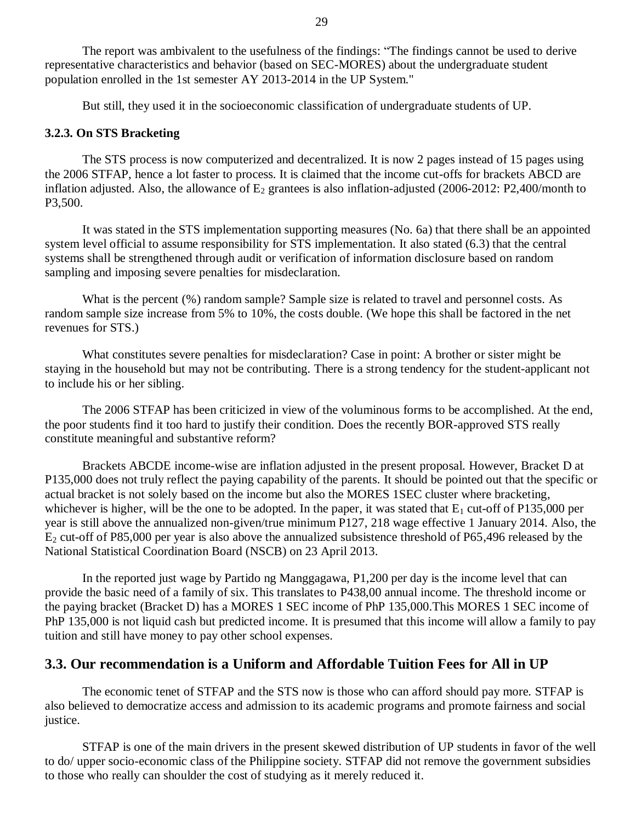The report was ambivalent to the usefulness of the findings: "The findings cannot be used to derive representative characteristics and behavior (based on SEC-MORES) about the undergraduate student population enrolled in the 1st semester AY 2013-2014 in the UP System."

But still, they used it in the socioeconomic classification of undergraduate students of UP.

## **3.2.3. On STS Bracketing**

The STS process is now computerized and decentralized. It is now 2 pages instead of 15 pages using the 2006 STFAP, hence a lot faster to process. It is claimed that the income cut-offs for brackets ABCD are inflation adjusted. Also, the allowance of  $E_2$  grantees is also inflation-adjusted (2006-2012: P2,400/month to P3,500.

It was stated in the STS implementation supporting measures (No. 6a) that there shall be an appointed system level official to assume responsibility for STS implementation*.* It also stated (6.3) that the central systems shall be strengthened through audit or verification of information disclosure based on random sampling and imposing severe penalties for misdeclaration.

What is the percent (%) random sample? Sample size is related to travel and personnel costs. As random sample size increase from 5% to 10%, the costs double. (We hope this shall be factored in the net revenues for STS.)

What constitutes severe penalties for misdeclaration? Case in point: A brother or sister might be staying in the household but may not be contributing. There is a strong tendency for the student-applicant not to include his or her sibling.

The 2006 STFAP has been criticized in view of the voluminous forms to be accomplished. At the end, the poor students find it too hard to justify their condition. Does the recently BOR-approved STS really constitute meaningful and substantive reform?

Brackets ABCDE income-wise are inflation adjusted in the present proposal. However, Bracket D at P135,000 does not truly reflect the paying capability of the parents. It should be pointed out that the specific or actual bracket is not solely based on the income but also the MORES 1SEC cluster where bracketing, whichever is higher, will be the one to be adopted. In the paper, it was stated that  $E_1$  cut-off of P135,000 per year is still above the annualized non-given/true minimum P127, 218 wage effective 1 January 2014. Also, the  $E_2$  cut-off of P85,000 per year is also above the annualized subsistence threshold of P65,496 released by the National Statistical Coordination Board (NSCB) on 23 April 2013.

In the reported just wage by Partido ng Manggagawa, P1,200 per day is the income level that can provide the basic need of a family of six. This translates to P438,00 annual income. The threshold income or the paying bracket (Bracket D) has a MORES 1 SEC income of PhP 135,000.This MORES 1 SEC income of PhP 135,000 is not liquid cash but predicted income. It is presumed that this income will allow a family to pay tuition and still have money to pay other school expenses.

## **3.3. Our recommendation is a Uniform and Affordable Tuition Fees for All in UP**

The economic tenet of STFAP and the STS now is those who can afford should pay more*.* STFAP is also believed to democratize access and admission to its academic programs and promote fairness and social justice.

STFAP is one of the main drivers in the present skewed distribution of UP students in favor of the well to do/ upper socio-economic class of the Philippine society. STFAP did not remove the government subsidies to those who really can shoulder the cost of studying as it merely reduced it.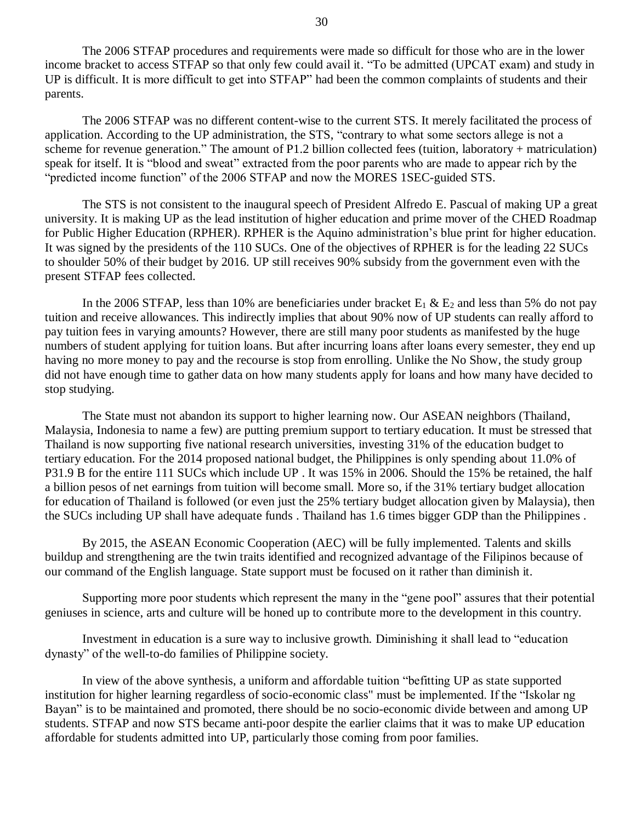The 2006 STFAP procedures and requirements were made so difficult for those who are in the lower income bracket to access STFAP so that only few could avail it. "To be admitted (UPCAT exam) and study in UP is difficult. It is more difficult to get into STFAP" had been the common complaints of students and their parents.

The 2006 STFAP was no different content-wise to the current STS. It merely facilitated the process of application. According to the UP administration, the STS, "contrary to what some sectors allege is not a scheme for revenue generation." The amount of P1.2 billion collected fees (tuition, laboratory + matriculation) speak for itself. It is "blood and sweat" extracted from the poor parents who are made to appear rich by the "predicted income function" of the 2006 STFAP and now the MORES 1SEC-guided STS.

The STS is not consistent to the inaugural speech of President Alfredo E. Pascual of making UP a great university. It is making UP as the lead institution of higher education and prime mover of the CHED Roadmap for Public Higher Education (RPHER). RPHER is the Aquino administration"s blue print for higher education. It was signed by the presidents of the 110 SUCs. One of the objectives of RPHER is for the leading 22 SUCs to shoulder 50% of their budget by 2016. UP still receives 90% subsidy from the government even with the present STFAP fees collected.

In the 2006 STFAP, less than 10% are beneficiaries under bracket  $E_1 \& E_2$  and less than 5% do not pay tuition and receive allowances. This indirectly implies that about 90% now of UP students can really afford to pay tuition fees in varying amounts? However, there are still many poor students as manifested by the huge numbers of student applying for tuition loans. But after incurring loans after loans every semester, they end up having no more money to pay and the recourse is stop from enrolling. Unlike the No Show, the study group did not have enough time to gather data on how many students apply for loans and how many have decided to stop studying.

The State must not abandon its support to higher learning now. Our ASEAN neighbors (Thailand, Malaysia, Indonesia to name a few) are putting premium support to tertiary education. It must be stressed that Thailand is now supporting five national research universities, investing 31% of the education budget to tertiary education. For the 2014 proposed national budget, the Philippines is only spending about 11.0% of P31.9 B for the entire 111 SUCs which include UP . It was 15% in 2006. Should the 15% be retained, the half a billion pesos of net earnings from tuition will become small. More so, if the 31% tertiary budget allocation for education of Thailand is followed (or even just the 25% tertiary budget allocation given by Malaysia), then the SUCs including UP shall have adequate funds . Thailand has 1.6 times bigger GDP than the Philippines .

By 2015, the ASEAN Economic Cooperation (AEC) will be fully implemented. Talents and skills buildup and strengthening are the twin traits identified and recognized advantage of the Filipinos because of our command of the English language. State support must be focused on it rather than diminish it.

Supporting more poor students which represent the many in the "gene pool" assures that their potential geniuses in science, arts and culture will be honed up to contribute more to the development in this country.

Investment in education is a sure way to inclusive growth. Diminishing it shall lead to "education dynasty" of the well-to-do families of Philippine society.

In view of the above synthesis, a uniform and affordable tuition "befitting UP as state supported institution for higher learning regardless of socio-economic class" must be implemented. If the "Iskolar ng Bayan" is to be maintained and promoted, there should be no socio-economic divide between and among UP students. STFAP and now STS became anti-poor despite the earlier claims that it was to make UP education affordable for students admitted into UP, particularly those coming from poor families.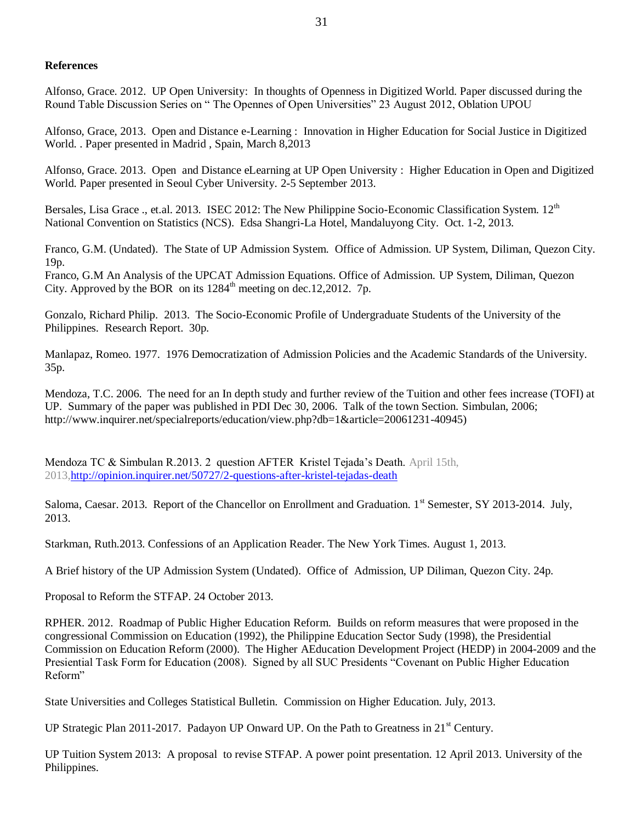## **References**

Alfonso, Grace. 2012. UP Open University: In thoughts of Openness in Digitized World. Paper discussed during the Round Table Discussion Series on " The Opennes of Open Universities" 23 August 2012, Oblation UPOU

Alfonso, Grace, 2013. Open and Distance e-Learning : Innovation in Higher Education for Social Justice in Digitized World. . Paper presented in Madrid , Spain, March 8,2013

Alfonso, Grace. 2013. Open and Distance eLearning at UP Open University : Higher Education in Open and Digitized World. Paper presented in Seoul Cyber University. 2-5 September 2013.

Bersales, Lisa Grace ., et.al. 2013. ISEC 2012: The New Philippine Socio-Economic Classification System. 12<sup>th</sup> National Convention on Statistics (NCS). Edsa Shangri-La Hotel, Mandaluyong City. Oct. 1-2, 2013.

Franco, G.M. (Undated). The State of UP Admission System. Office of Admission. UP System, Diliman, Quezon City. 19p.

Franco, G.M An Analysis of the UPCAT Admission Equations. Office of Admission. UP System, Diliman, Quezon City. Approved by the BOR on its  $1284<sup>th</sup>$  meeting on dec.12,2012. 7p.

Gonzalo, Richard Philip. 2013. The Socio-Economic Profile of Undergraduate Students of the University of the Philippines. Research Report. 30p.

Manlapaz, Romeo. 1977. 1976 Democratization of Admission Policies and the Academic Standards of the University. 35p.

Mendoza, T.C. 2006. The need for an In depth study and further review of the Tuition and other fees increase (TOFI) at UP. Summary of the paper was published in PDI Dec 30, 2006. Talk of the town Section. Simbulan, 2006; http://www.inquirer.net/specialreports/education/view.php?db=1&article=20061231-40945)

Mendoza TC & Simbulan R.2013. 2 question AFTER Kristel Tejada"s Death. April 15th, 2013[,http://opinion.inquirer.net/50727/2-questions-after-kristel-tejadas-death](http://opinion.inquirer.net/50727/2-questions-after-kristel-tejadas-death)

Saloma, Caesar. 2013. Report of the Chancellor on Enrollment and Graduation.  $1<sup>st</sup>$  Semester, SY 2013-2014. July, 2013.

Starkman, Ruth.2013. Confessions of an Application Reader. The New York Times. August 1, 2013.

A Brief history of the UP Admission System (Undated). Office of Admission, UP Diliman, Quezon City. 24p.

Proposal to Reform the STFAP. 24 October 2013.

RPHER. 2012. Roadmap of Public Higher Education Reform. Builds on reform measures that were proposed in the congressional Commission on Education (1992), the Philippine Education Sector Sudy (1998), the Presidential Commission on Education Reform (2000). The Higher AEducation Development Project (HEDP) in 2004-2009 and the Presiential Task Form for Education (2008). Signed by all SUC Presidents "Covenant on Public Higher Education Reform"

State Universities and Colleges Statistical Bulletin. Commission on Higher Education. July, 2013.

UP Strategic Plan 2011-2017. Padayon UP Onward UP. On the Path to Greatness in  $21<sup>st</sup>$  Century.

UP Tuition System 2013: A proposal to revise STFAP. A power point presentation. 12 April 2013. University of the Philippines.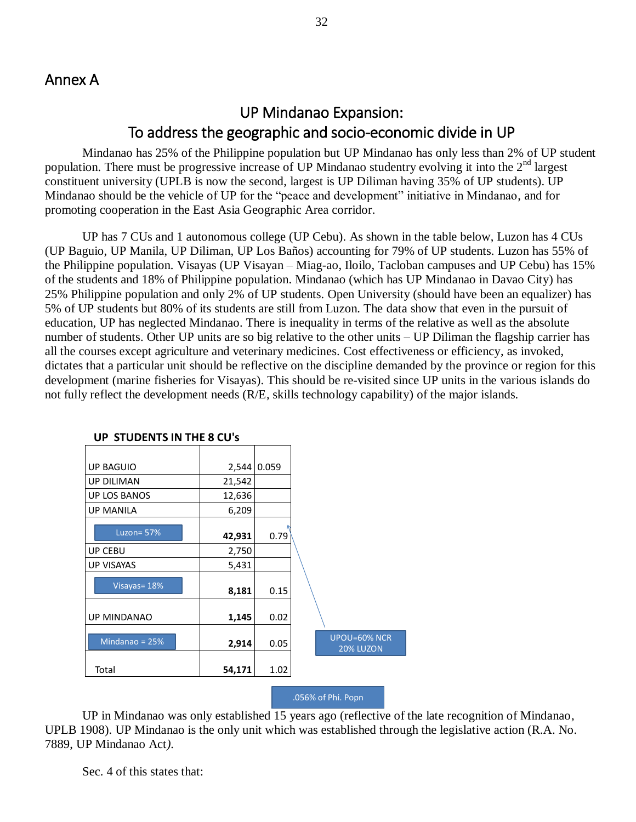## UP Mindanao Expansion: To address the geographic and socio-economic divide in UP

Mindanao has 25% of the Philippine population but UP Mindanao has only less than 2% of UP student population. There must be progressive increase of UP Mindanao studentry evolving it into the 2nd largest constituent university (UPLB is now the second, largest is UP Diliman having 35% of UP students). UP Mindanao should be the vehicle of UP for the "peace and development" initiative in Mindanao, and for promoting cooperation in the East Asia Geographic Area corridor.

UP has 7 CUs and 1 autonomous college (UP Cebu). As shown in the table below, Luzon has 4 CUs (UP Baguio, UP Manila, UP Diliman, UP Los Baños) accounting for 79% of UP students. Luzon has 55% of the Philippine population. Visayas (UP Visayan – Miag-ao, Iloilo, Tacloban campuses and UP Cebu) has 15% of the students and 18% of Philippine population. Mindanao (which has UP Mindanao in Davao City) has 25% Philippine population and only 2% of UP students. Open University (should have been an equalizer) has 5% of UP students but 80% of its students are still from Luzon. The data show that even in the pursuit of education, UP has neglected Mindanao. There is inequality in terms of the relative as well as the absolute number of students. Other UP units are so big relative to the other units – UP Diliman the flagship carrier has all the courses except agriculture and veterinary medicines. Cost effectiveness or efficiency, as invoked, dictates that a particular unit should be reflective on the discipline demanded by the province or region for this development (marine fisheries for Visayas). This should be re-visited since UP units in the various islands do not fully reflect the development needs (R/E, skills technology capability) of the major islands.

| <b>UP BAGUIO</b>    | 2,544  | 0.059 |                           |
|---------------------|--------|-------|---------------------------|
| <b>UP DILIMAN</b>   | 21,542 |       |                           |
| <b>UP LOS BANOS</b> | 12,636 |       |                           |
| <b>UP MANILA</b>    | 6,209  |       |                           |
| Luzon = $57%$       | 42,931 | 0.79  |                           |
| UP CEBU             | 2,750  |       |                           |
| <b>UP VISAYAS</b>   | 5,431  |       |                           |
| Visayas=18%         | 8,181  | 0.15  |                           |
| <b>UP MINDANAO</b>  | 1,145  | 0.02  |                           |
| Mindanao = $25%$    | 2,914  | 0.05  | UPOU=60% NCR<br>20% LUZON |
| Total               | 54,171 | 1.02  |                           |
|                     |        |       |                           |

### **UP STUDENTS IN THE 8 CU's**

#### .056% of Phi. Popn

UP in Mindanao was only established 15 years ago (reflective of the late recognition of Mindanao, UPLB 1908). UP Mindanao is the only unit which was established through the legislative action (R.A. No. 7889, UP Mindanao Act*).*

Sec. 4 of this states that: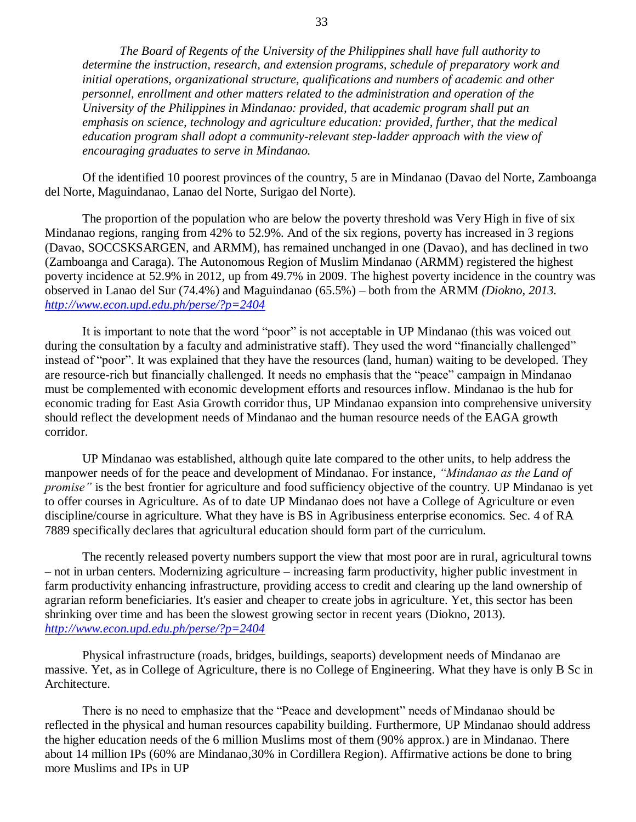*The Board of Regents of the University of the Philippines shall have full authority to determine the instruction, research, and extension programs, schedule of preparatory work and initial operations, organizational structure, qualifications and numbers of academic and other personnel, enrollment and other matters related to the administration and operation of the University of the Philippines in Mindanao: provided, that academic program shall put an emphasis on science, technology and agriculture education: provided, further, that the medical education program shall adopt a community-relevant step-ladder approach with the view of encouraging graduates to serve in Mindanao.*

Of the identified 10 poorest provinces of the country, 5 are in Mindanao (Davao del Norte, Zamboanga del Norte, Maguindanao, Lanao del Norte, Surigao del Norte).

The proportion of the population who are below the poverty threshold was Very High in five of six Mindanao regions, ranging from 42% to 52.9%. And of the six regions, poverty has increased in 3 regions (Davao, SOCCSKSARGEN, and ARMM), has remained unchanged in one (Davao), and has declined in two (Zamboanga and Caraga). The Autonomous Region of Muslim Mindanao (ARMM) registered the highest poverty incidence at 52.9% in 2012, up from 49.7% in 2009. The highest poverty incidence in the country was observed in Lanao del Sur (74.4%) and Maguindanao (65.5%) – both from the ARMM *(Diokno, 2013. <http://www.econ.upd.edu.ph/perse/?p=2404>*

It is important to note that the word "poor" is not acceptable in UP Mindanao (this was voiced out during the consultation by a faculty and administrative staff). They used the word "financially challenged" instead of "poor". It was explained that they have the resources (land, human) waiting to be developed. They are resource-rich but financially challenged. It needs no emphasis that the "peace" campaign in Mindanao must be complemented with economic development efforts and resources inflow. Mindanao is the hub for economic trading for East Asia Growth corridor thus, UP Mindanao expansion into comprehensive university should reflect the development needs of Mindanao and the human resource needs of the EAGA growth corridor.

UP Mindanao was established, although quite late compared to the other units, to help address the manpower needs of for the peace and development of Mindanao. For instance, *"Mindanao as the Land of promise"* is the best frontier for agriculture and food sufficiency objective of the country. UP Mindanao is yet to offer courses in Agriculture. As of to date UP Mindanao does not have a College of Agriculture or even discipline/course in agriculture. What they have is BS in Agribusiness enterprise economics. Sec. 4 of RA 7889 specifically declares that agricultural education should form part of the curriculum.

The recently released poverty numbers support the view that most poor are in rural, agricultural towns – not in urban centers. Modernizing agriculture – increasing farm productivity, higher public investment in farm productivity enhancing infrastructure, providing access to credit and clearing up the land ownership of agrarian reform beneficiaries. It's easier and cheaper to create jobs in agriculture. Yet, this sector has been shrinking over time and has been the slowest growing sector in recent years (Diokno, 2013). *<http://www.econ.upd.edu.ph/perse/?p=2404>*

Physical infrastructure (roads, bridges, buildings, seaports) development needs of Mindanao are massive. Yet, as in College of Agriculture, there is no College of Engineering. What they have is only B Sc in Architecture.

There is no need to emphasize that the "Peace and development" needs of Mindanao should be reflected in the physical and human resources capability building. Furthermore, UP Mindanao should address the higher education needs of the 6 million Muslims most of them (90% approx.) are in Mindanao. There about 14 million IPs (60% are Mindanao,30% in Cordillera Region). Affirmative actions be done to bring more Muslims and IPs in UP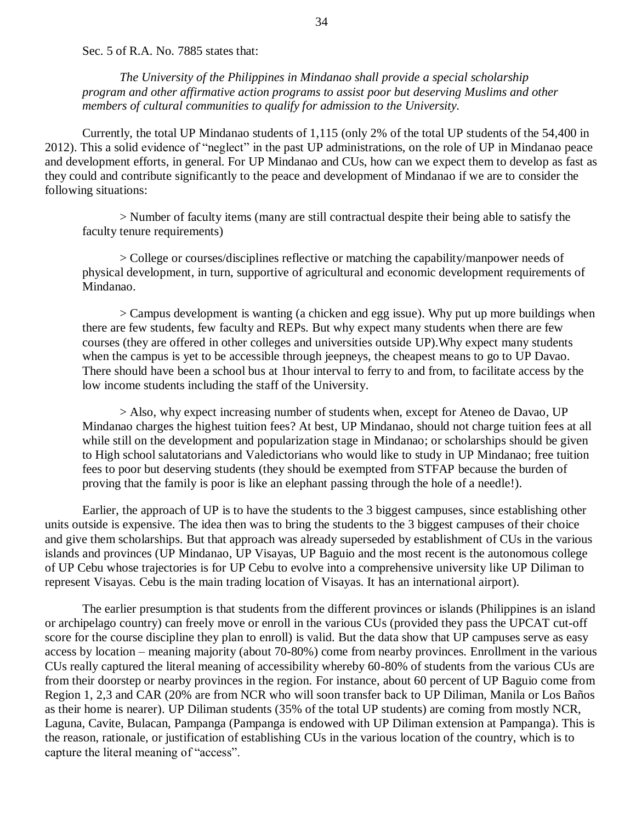Sec. 5 of R.A. No. 7885 states that:

*The University of the Philippines in Mindanao shall provide a special scholarship program and other affirmative action programs to assist poor but deserving Muslims and other members of cultural communities to qualify for admission to the University.*

Currently, the total UP Mindanao students of 1,115 (only 2% of the total UP students of the 54,400 in 2012). This a solid evidence of "neglect" in the past UP administrations, on the role of UP in Mindanao peace and development efforts, in general. For UP Mindanao and CUs, how can we expect them to develop as fast as they could and contribute significantly to the peace and development of Mindanao if we are to consider the following situations:

> Number of faculty items (many are still contractual despite their being able to satisfy the faculty tenure requirements)

> College or courses/disciplines reflective or matching the capability/manpower needs of physical development, in turn, supportive of agricultural and economic development requirements of Mindanao.

> Campus development is wanting (a chicken and egg issue). Why put up more buildings when there are few students, few faculty and REPs. But why expect many students when there are few courses (they are offered in other colleges and universities outside UP).Why expect many students when the campus is yet to be accessible through jeepneys, the cheapest means to go to UP Davao. There should have been a school bus at 1hour interval to ferry to and from, to facilitate access by the low income students including the staff of the University.

> Also, why expect increasing number of students when, except for Ateneo de Davao, UP Mindanao charges the highest tuition fees? At best, UP Mindanao, should not charge tuition fees at all while still on the development and popularization stage in Mindanao; or scholarships should be given to High school salutatorians and Valedictorians who would like to study in UP Mindanao; free tuition fees to poor but deserving students (they should be exempted from STFAP because the burden of proving that the family is poor is like an elephant passing through the hole of a needle!).

Earlier, the approach of UP is to have the students to the 3 biggest campuses, since establishing other units outside is expensive. The idea then was to bring the students to the 3 biggest campuses of their choice and give them scholarships. But that approach was already superseded by establishment of CUs in the various islands and provinces (UP Mindanao, UP Visayas, UP Baguio and the most recent is the autonomous college of UP Cebu whose trajectories is for UP Cebu to evolve into a comprehensive university like UP Diliman to represent Visayas. Cebu is the main trading location of Visayas. It has an international airport).

The earlier presumption is that students from the different provinces or islands (Philippines is an island or archipelago country) can freely move or enroll in the various CUs (provided they pass the UPCAT cut-off score for the course discipline they plan to enroll) is valid. But the data show that UP campuses serve as easy access by location – meaning majority (about 70-80%) come from nearby provinces. Enrollment in the various CUs really captured the literal meaning of accessibility whereby 60-80% of students from the various CUs are from their doorstep or nearby provinces in the region. For instance, about 60 percent of UP Baguio come from Region 1, 2,3 and CAR (20% are from NCR who will soon transfer back to UP Diliman, Manila or Los Baños as their home is nearer). UP Diliman students (35% of the total UP students) are coming from mostly NCR, Laguna, Cavite, Bulacan, Pampanga (Pampanga is endowed with UP Diliman extension at Pampanga). This is the reason, rationale, or justification of establishing CUs in the various location of the country, which is to capture the literal meaning of "access".